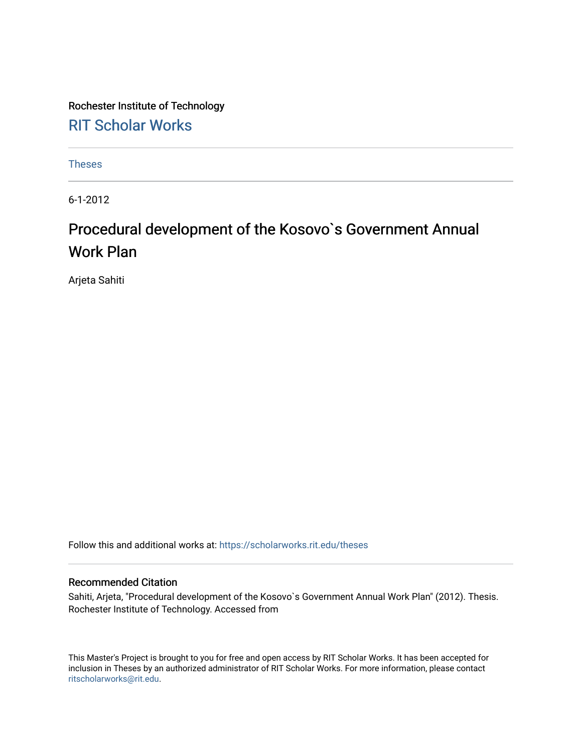Rochester Institute of Technology [RIT Scholar Works](https://scholarworks.rit.edu/)

[Theses](https://scholarworks.rit.edu/theses) 

6-1-2012

# Procedural development of the Kosovo's Government Annual Work Plan

Arjeta Sahiti

Follow this and additional works at: [https://scholarworks.rit.edu/theses](https://scholarworks.rit.edu/theses?utm_source=scholarworks.rit.edu%2Ftheses%2F6851&utm_medium=PDF&utm_campaign=PDFCoverPages) 

#### Recommended Citation

Sahiti, Arjeta, "Procedural development of the Kosovo`s Government Annual Work Plan" (2012). Thesis. Rochester Institute of Technology. Accessed from

This Master's Project is brought to you for free and open access by RIT Scholar Works. It has been accepted for inclusion in Theses by an authorized administrator of RIT Scholar Works. For more information, please contact [ritscholarworks@rit.edu](mailto:ritscholarworks@rit.edu).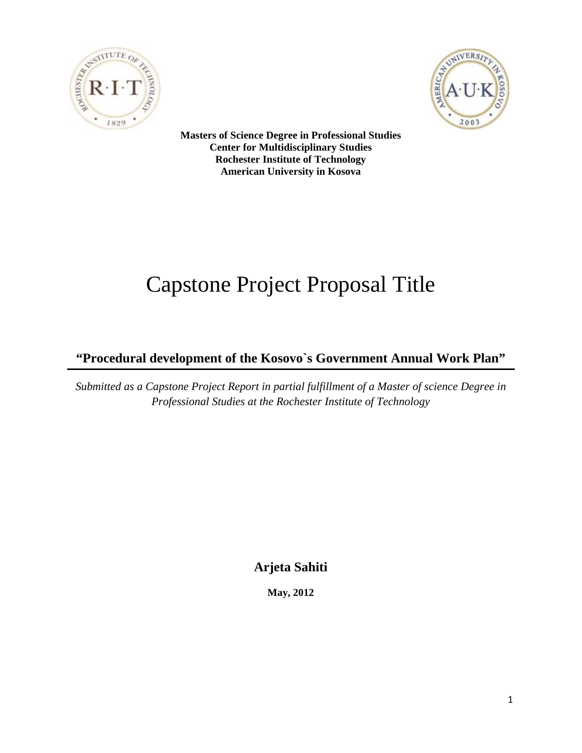



 **Masters of Science Degree in Professional Studies Center for Multidisciplinary Studies Rochester Institute of Technology American University in Kosova** 

# Capstone Project Proposal Title

**"Procedural development of the Kosovo`s Government Annual Work Plan"** 

*Submitted as a Capstone Project Report in partial fulfillment of a Master of science Degree in Professional Studies at the Rochester Institute of Technology* 

**Arjeta Sahiti** 

**May, 2012**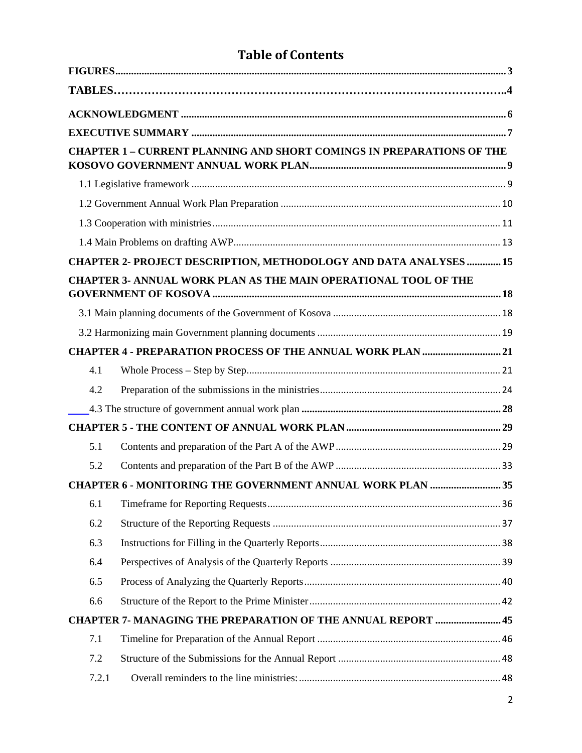# **Table of Contents**

|       | <b>CHAPTER 1 - CURRENT PLANNING AND SHORT COMINGS IN PREPARATIONS OF THE</b> |  |
|-------|------------------------------------------------------------------------------|--|
|       |                                                                              |  |
|       |                                                                              |  |
|       |                                                                              |  |
|       |                                                                              |  |
|       | CHAPTER 2- PROJECT DESCRIPTION, METHODOLOGY AND DATA ANALYSES  15            |  |
|       | <b>CHAPTER 3- ANNUAL WORK PLAN AS THE MAIN OPERATIONAL TOOL OF THE</b>       |  |
|       |                                                                              |  |
|       |                                                                              |  |
|       | CHAPTER 4 - PREPARATION PROCESS OF THE ANNUAL WORK PLAN  21                  |  |
| 4.1   |                                                                              |  |
| 4.2   |                                                                              |  |
|       |                                                                              |  |
|       |                                                                              |  |
| 5.1   |                                                                              |  |
| 5.2   |                                                                              |  |
|       | CHAPTER 6 - MONITORING THE GOVERNMENT ANNUAL WORK PLAN 35                    |  |
| 6.1   |                                                                              |  |
| 6.2   |                                                                              |  |
| 6.3   |                                                                              |  |
| 6.4   |                                                                              |  |
| 6.5   |                                                                              |  |
| 6.6   |                                                                              |  |
|       | <b>CHAPTER 7- MANAGING THE PREPARATION OF THE ANNUAL REPORT  45</b>          |  |
| 7.1   |                                                                              |  |
| 7.2   |                                                                              |  |
| 7.2.1 |                                                                              |  |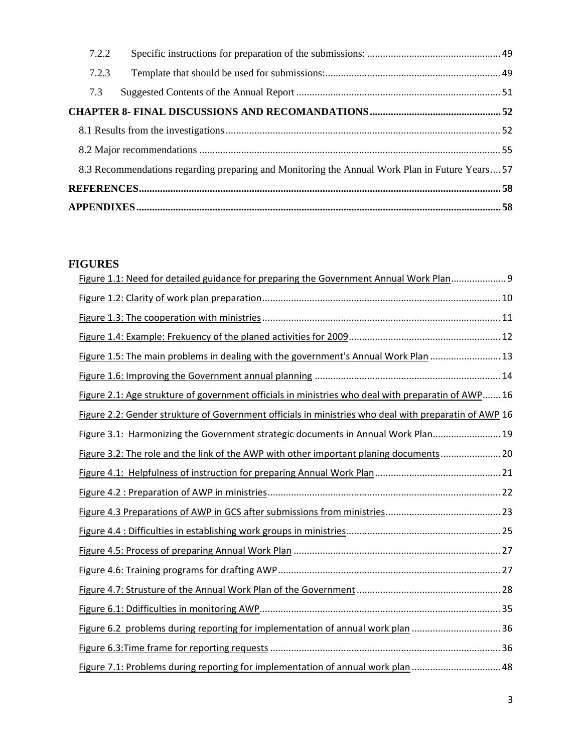<span id="page-3-0"></span>

| 7.2.2 |                                                                                                |  |  |  |  |  |
|-------|------------------------------------------------------------------------------------------------|--|--|--|--|--|
| 7.2.3 |                                                                                                |  |  |  |  |  |
| 7.3   |                                                                                                |  |  |  |  |  |
|       |                                                                                                |  |  |  |  |  |
|       |                                                                                                |  |  |  |  |  |
|       |                                                                                                |  |  |  |  |  |
|       | 8.3 Recommendations regarding preparing and Monitoring the Annual Work Plan in Future Years 57 |  |  |  |  |  |
|       |                                                                                                |  |  |  |  |  |
|       |                                                                                                |  |  |  |  |  |

# **FIGURES**

| Figure 1.1: Need for detailed guidance for preparing the Government Annual Work Plan 9                |  |
|-------------------------------------------------------------------------------------------------------|--|
|                                                                                                       |  |
|                                                                                                       |  |
|                                                                                                       |  |
| Figure 1.5: The main problems in dealing with the government's Annual Work Plan  13                   |  |
|                                                                                                       |  |
| Figure 2.1: Age strukture of government officials in ministries who deal with preparatin of AWP 16    |  |
| Figure 2.2: Gender strukture of Government officials in ministries who deal with preparatin of AWP 16 |  |
| Figure 3.1: Harmonizing the Government strategic documents in Annual Work Plan 19                     |  |
| Figure 3.2: The role and the link of the AWP with other important planing documents 20                |  |
|                                                                                                       |  |
|                                                                                                       |  |
|                                                                                                       |  |
|                                                                                                       |  |
|                                                                                                       |  |
|                                                                                                       |  |
|                                                                                                       |  |
|                                                                                                       |  |
| Figure 6.2 problems during reporting for implementation of annual work plan  36                       |  |
|                                                                                                       |  |
| Figure 7.1: Problems during reporting for implementation of annual work plan  48                      |  |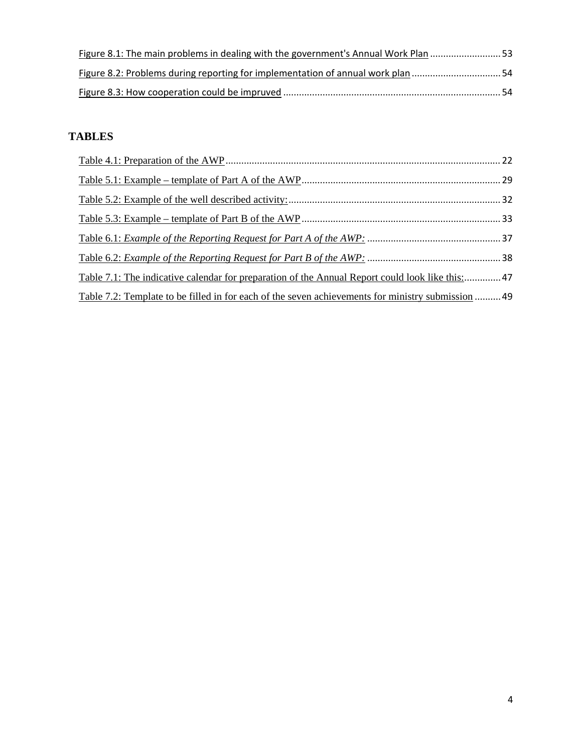| Figure 8.1: The main problems in dealing with the government's Annual Work Plan 53 |  |
|------------------------------------------------------------------------------------|--|
| Figure 8.2: Problems during reporting for implementation of annual work plan 54    |  |
|                                                                                    |  |

# **TABLES**

| Table 7.1: The indicative calendar for preparation of the Annual Report could look like this:47   |  |
|---------------------------------------------------------------------------------------------------|--|
| Table 7.2: Template to be filled in for each of the seven achievements for ministry submission 49 |  |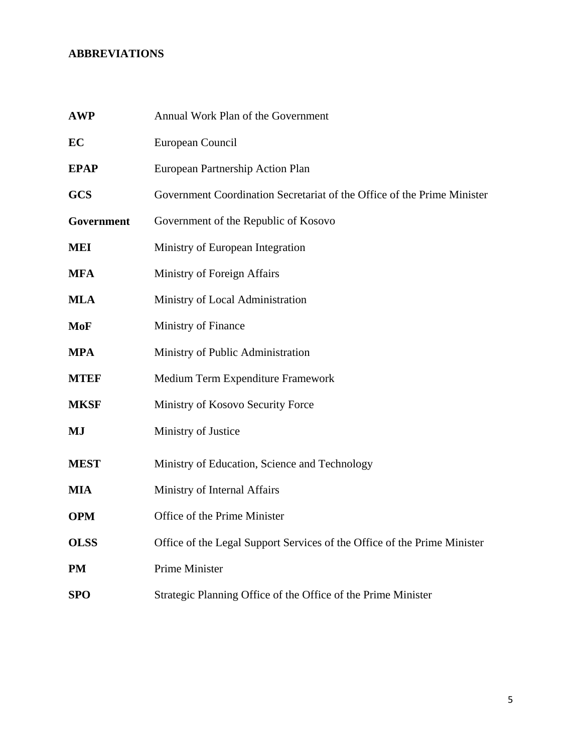# **ABBREVIATIONS**

| <b>AWP</b>  | Annual Work Plan of the Government                                       |
|-------------|--------------------------------------------------------------------------|
| EC          | European Council                                                         |
| <b>EPAP</b> | European Partnership Action Plan                                         |
| <b>GCS</b>  | Government Coordination Secretariat of the Office of the Prime Minister  |
| Government  | Government of the Republic of Kosovo                                     |
| <b>MEI</b>  | Ministry of European Integration                                         |
| <b>MFA</b>  | Ministry of Foreign Affairs                                              |
| <b>MLA</b>  | Ministry of Local Administration                                         |
| MoF         | Ministry of Finance                                                      |
| <b>MPA</b>  | Ministry of Public Administration                                        |
| <b>MTEF</b> | Medium Term Expenditure Framework                                        |
| <b>MKSF</b> | Ministry of Kosovo Security Force                                        |
| MJ          | Ministry of Justice                                                      |
| <b>MEST</b> | Ministry of Education, Science and Technology                            |
| <b>MIA</b>  | Ministry of Internal Affairs                                             |
| <b>OPM</b>  | Office of the Prime Minister                                             |
| <b>OLSS</b> | Office of the Legal Support Services of the Office of the Prime Minister |
| <b>PM</b>   | Prime Minister                                                           |
| <b>SPO</b>  | Strategic Planning Office of the Office of the Prime Minister            |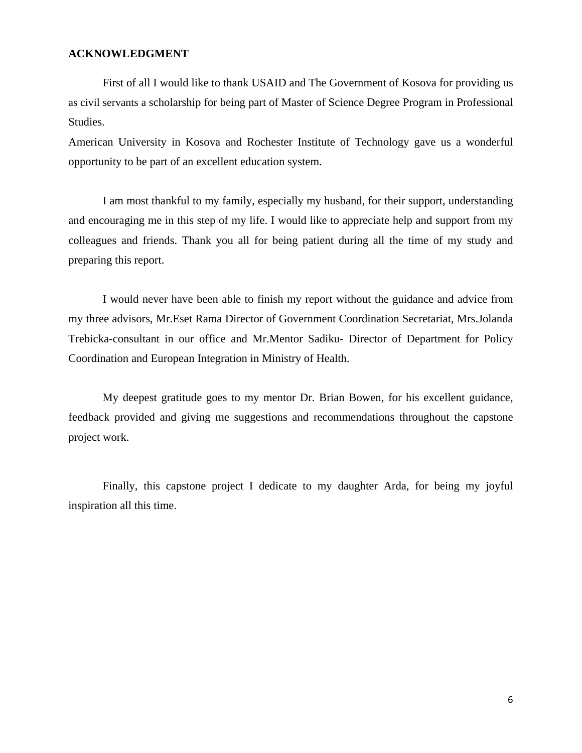#### <span id="page-6-0"></span>**ACKNOWLEDGMENT**

First of all I would like to thank USAID and The Government of Kosova for providing us as civil servants a scholarship for being part of Master of Science Degree Program in Professional Studies.

American University in Kosova and Rochester Institute of Technology gave us a wonderful opportunity to be part of an excellent education system.

I am most thankful to my family, especially my husband, for their support, understanding and encouraging me in this step of my life. I would like to appreciate help and support from my colleagues and friends. Thank you all for being patient during all the time of my study and preparing this report.

I would never have been able to finish my report without the guidance and advice from my three advisors, Mr.Eset Rama Director of Government Coordination Secretariat, Mrs.Jolanda Trebicka-consultant in our office and Mr.Mentor Sadiku- Director of Department for Policy Coordination and European Integration in Ministry of Health.

My deepest gratitude goes to my mentor Dr. Brian Bowen, for his excellent guidance, feedback provided and giving me suggestions and recommendations throughout the capstone project work.

Finally, this capstone project I dedicate to my daughter Arda, for being my joyful inspiration all this time.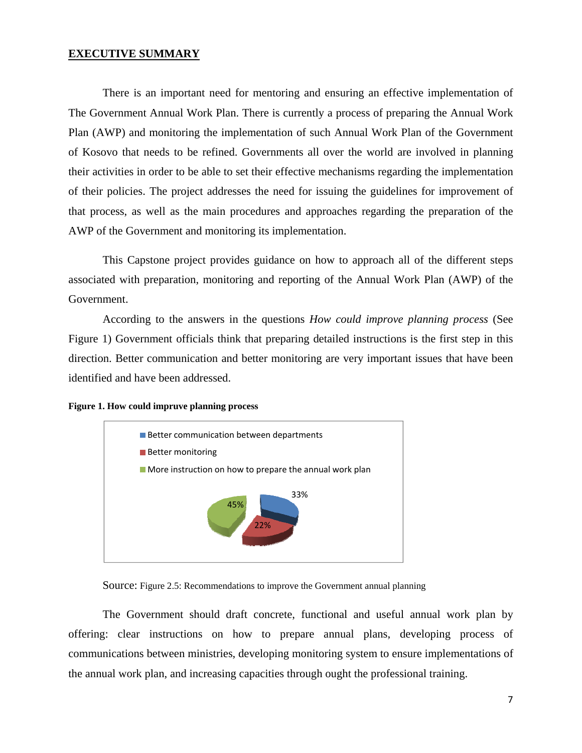## <span id="page-7-0"></span>**EXECUTIVE SUMMARY**

There is an important need for mentoring and ensuring an effective implementation of The Government Annual Work Plan. There is currently a process of preparing the Annual Work Plan (AWP) and monitoring the implementation of such Annual Work Plan of the Government of Kosovo that needs to be refined. Governments all over the world are involved in planning their activities in order to be able to set their effective mechanisms regarding the implementation of their policies. The project addresses the need for issuing the guidelines for improvement of that process, as well as the main procedures and approaches regarding the preparation of the AWP of the Government and monitoring its implementation.

This Capstone project provides guidance on how to approach all of the different steps associated with preparation, monitoring and reporting of the Annual Work Plan (AWP) of the Government.

According to the answers in the questions *How could improve planning process* (See Figure 1) Government officials think that preparing detailed instructions is the first step in this direction. Better communication and better monitoring are very important issues that have been identified and have been addressed.

#### **Figure 1. How could impruve planning process**



Source: Figure 2.5: Recommendations to improve the Government annual planning

The Government should draft concrete, functional and useful annual work plan by offering: clear instructions on how to prepare annual plans, developing process of communications between ministries, developing monitoring system to ensure implementations of the annual work plan, and increasing capacities through ought the professional training.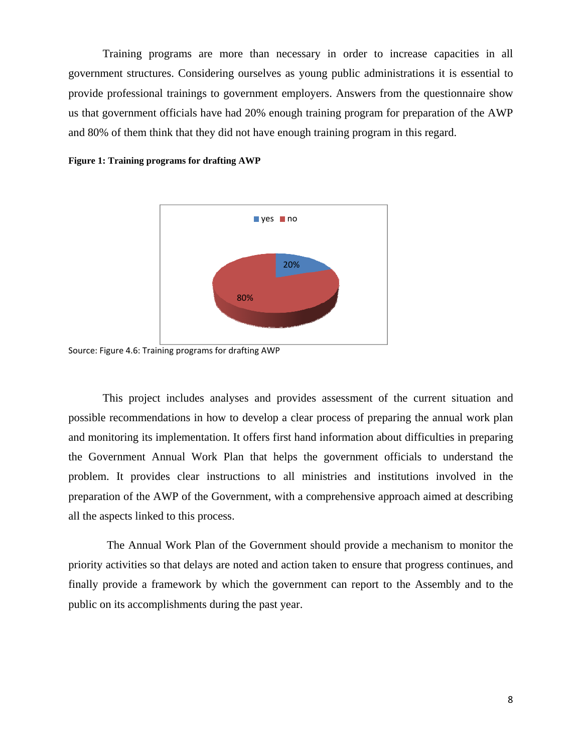Training programs are more than necessary in order to increase capacities in all government structures. Considering ourselves as young public administrations it is essential to provide professional trainings to government employers. Answers from the questionnaire show us that government officials have had 20% enough training program for preparation of the AWP and 80% of them think that they did not have enough training program in this regard.





Source: Figure 4.6: Training programs for drafting AWP

This project includes analyses and provides assessment of the current situation and possible recommendations in how to develop a clear process of preparing the annual work plan and monitoring its implementation. It offers first hand information about difficulties in preparing the Government Annual Work Plan that helps the government officials to understand the problem. It provides clear instructions to all ministries and institutions involved in the preparation of the AWP of the Government, with a comprehensive approach aimed at describing all the aspects linked to this process.

 The Annual Work Plan of the Government should provide a mechanism to monitor the priority activities so that delays are noted and action taken to ensure that progress continues, and finally provide a framework by which the government can report to the Assembly and to the public on its accomplishments during the past year.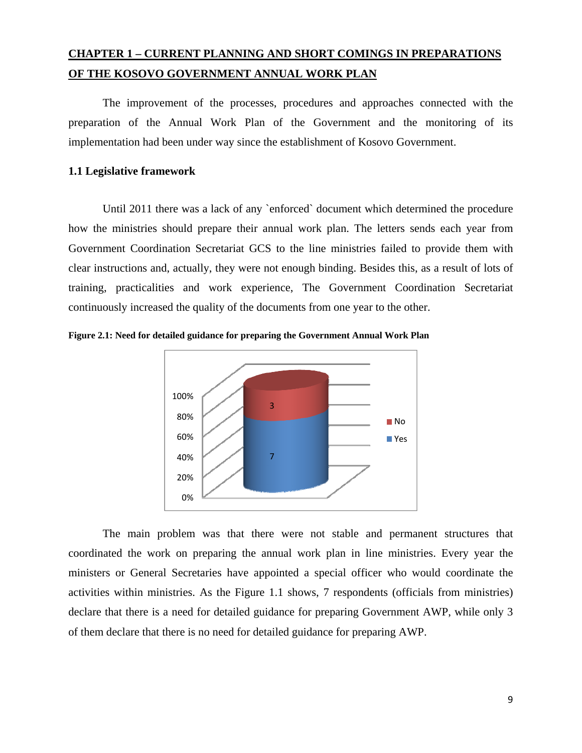# <span id="page-9-0"></span>**CHAPTER 1 – CURRENT PLANNING AND SHORT COMINGS IN PREPARATIONS OF THE KOSOVO GOVERNMENT ANNUAL WORK PLAN**

The improvement of the processes, procedures and approaches connected with the preparation of the Annual Work Plan of the Government and the monitoring of its implementation had been under way since the establishment of Kosovo Government.

# **1.1 Legislative framework**

Until 2011 there was a lack of any `enforced` document which determined the procedure how the ministries should prepare their annual work plan. The letters sends each year from Government Coordination Secretariat GCS to the line ministries failed to provide them with clear instructions and, actually, they were not enough binding. Besides this, as a result of lots of training, practicalities and work experience, The Government Coordination Secretariat continuously increased the quality of the documents from one year to the other.





The main problem was that there were not stable and permanent structures that coordinated the work on preparing the annual work plan in line ministries. Every year the ministers or General Secretaries have appointed a special officer who would coordinate the activities within ministries. As the Figure 1.1 shows, 7 respondents (officials from ministries) declare that there is a need for detailed guidance for preparing Government AWP, while only 3 of them declare that there is no need for detailed guidance for preparing AWP.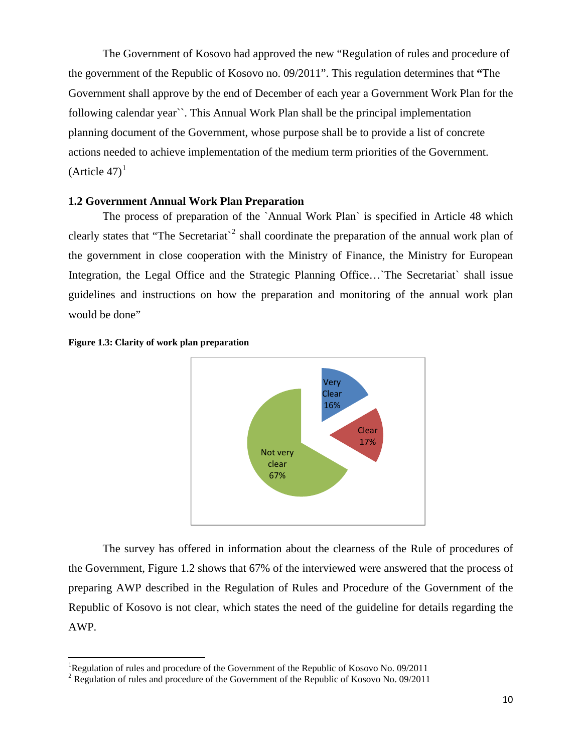<span id="page-10-0"></span>The Government of Kosovo had approved the new "Regulation of rules and procedure of the government of the Republic of Kosovo no. 09/2011". This regulation determines that **"**The Government shall approve by the end of December of each year a Government Work Plan for the following calendar year``. This Annual Work Plan shall be the principal implementation planning document of the Government, whose purpose shall be to provide a list of concrete actions needed to achieve implementation of the medium term priorities of the Government.  $(A<sup>th</sup>)$  (Article 47)<sup>[1](#page-10-1)</sup>

# **1.2 Government Annual Work Plan Preparation**

The process of preparation of the `Annual Work Plan` is specified in Article 48 which clearly states that "The Secretariat<sup>-[2](#page-10-2)</sup> shall coordinate the preparation of the annual work plan of the government in close cooperation with the Ministry of Finance, the Ministry for European Integration, the Legal Office and the Strategic Planning Office... The Secretariat shall issue guidelines and instructions on how the preparation and monitoring of the annual work plan would be done"





The survey has offered in information about the clearness of the Rule of procedures of the Government, Figure 1.2 shows that 67% of the interviewed were answered that the process of preparing AWP described in the Regulation of Rules and Procedure of the Government of the Republic of Kosovo is not clear, which states the need of the guideline for details regarding the AWP.

<span id="page-10-1"></span><sup>&</sup>lt;sup>1</sup>Regulation of rules and procedure of the Government of the Republic of Kosovo No. 09/2011

<span id="page-10-2"></span><sup>&</sup>lt;sup>2</sup> Regulation of rules and procedure of the Government of the Republic of Kosovo No. 09/2011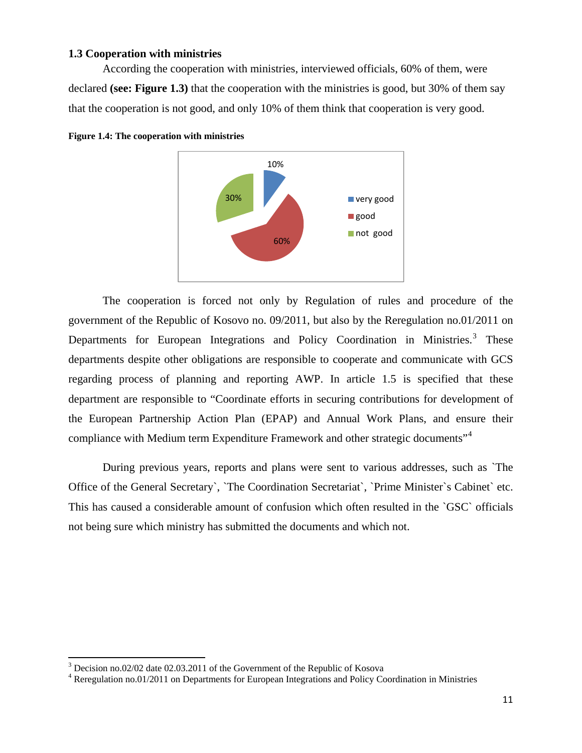# <span id="page-11-0"></span>**1.3 Cooperation with ministries**

According the cooperation with ministries, interviewed officials, 60% of them, were declared **(see: Figure 1.3)** that the cooperation with the ministries is good, but 30% of them say that the cooperation is not good, and only 10% of them think that cooperation is very good.





The cooperation is forced not only by Regulation of rules and procedure of the government of the Republic of Kosovo no. 09/2011, but also by the Reregulation no.01/2011 on Departments for European Integrations and Policy Coordination in Ministries.<sup>[3](#page-11-1)</sup> These departments despite other obligations are responsible to cooperate and communicate with GCS regarding process of planning and reporting AWP. In article 1.5 is specified that these department are responsible to "Coordinate efforts in securing contributions for development of the European Partnership Action Plan (EPAP) and Annual Work Plans, and ensure their compliance with Medium term Expenditure Framework and other strategic documents"<sup>[4](#page-11-2)</sup>

During previous years, reports and plans were sent to various addresses, such as `The Office of the General Secretary`, `The Coordination Secretariat`, `Prime Minister`s Cabinet` etc. This has caused a considerable amount of confusion which often resulted in the `GSC` officials not being sure which ministry has submitted the documents and which not.

<span id="page-11-1"></span> $3$  Decision no.02/02 date 02.03.2011 of the Government of the Republic of Kosova

<span id="page-11-2"></span><sup>&</sup>lt;sup>4</sup> Reregulation no.01/2011 on Departments for European Integrations and Policy Coordination in Ministries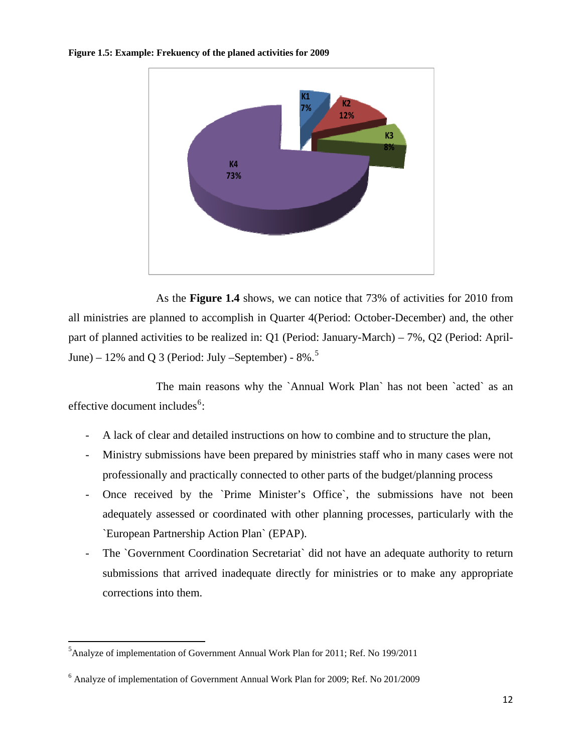#### <span id="page-12-0"></span>**Figure 1.5: Example: Frekuency of the planed activities for 2009**



 As the **Figure 1.4** shows, we can notice that 73% of activities for 2010 from all ministries are planned to accomplish in Quarter 4(Period: October-December) and, the other part of planned activities to be realized in: Q1 (Period: January-March) – 7%, Q2 (Period: April-June) – 12% and Q 3 (Period: July –September) -  $8\%$ .<sup>[5](#page-12-1)</sup>

The main reasons why the `Annual Work Plan` has not been `acted` as an effective document includes<sup>[6](#page-12-2)</sup>:

- A lack of clear and detailed instructions on how to combine and to structure the plan,
- Ministry submissions have been prepared by ministries staff who in many cases were not professionally and practically connected to other parts of the budget/planning process
- Once received by the `Prime Minister's Office`, the submissions have not been adequately assessed or coordinated with other planning processes, particularly with the `European Partnership Action Plan` (EPAP).
- The `Government Coordination Secretariat` did not have an adequate authority to return submissions that arrived inadequate directly for ministries or to make any appropriate corrections into them.

<span id="page-12-1"></span><sup>&</sup>lt;sup>5</sup> Analyze of implementation of Government Annual Work Plan for 2011; Ref. No 199/2011

<span id="page-12-2"></span><sup>&</sup>lt;sup>6</sup> Analyze of implementation of Government Annual Work Plan for 2009; Ref. No 201/2009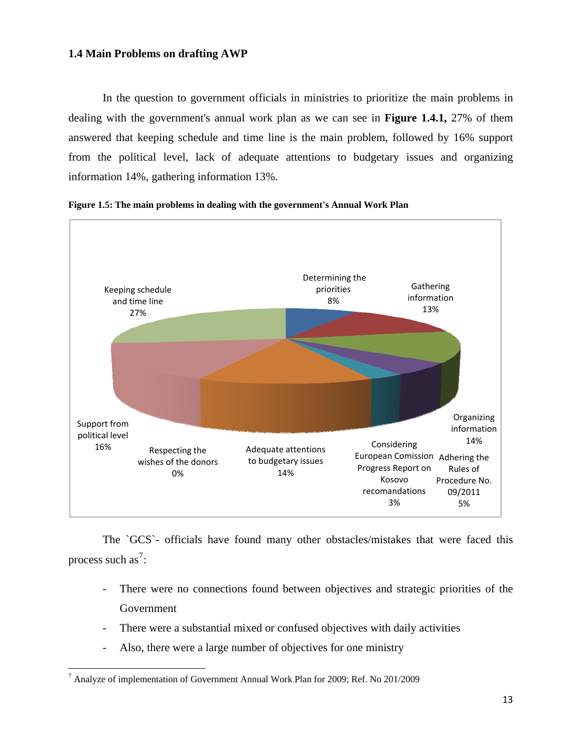# <span id="page-13-0"></span>**1.4 Main Problems on drafting AWP**

In the question to government officials in ministries to prioritize the main problems in dealing with the government's annual work plan as we can see in **Figure 1.4.1,** 27% of them answered that keeping schedule and time line is the main problem, followed by 16% support from the political level, lack of adequate attentions to budgetary issues and organizing information 14%, gathering information 13%.





The `GCS`- officials have found many other obstacles/mistakes that were faced this process such as<sup>[7](#page-13-1)</sup>:

- There were no connections found between objectives and strategic priorities of the Government
- There were a substantial mixed or confused objectives with daily activities
- Also, there were a large number of objectives for one ministry

<span id="page-13-1"></span> $^7$  Analyze of implementation of Government Annual Work Plan for 2009; Ref. No 201/2009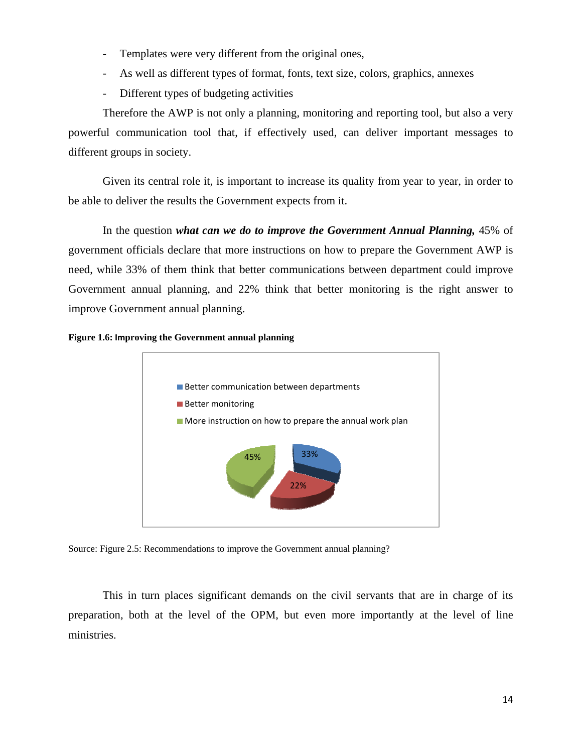- <span id="page-14-0"></span>- Templates were very different from the original ones,
- As well as different types of format, fonts, text size, colors, graphics, annexes
- Different types of budgeting activities

Therefore the AWP is not only a planning, monitoring and reporting tool, but also a very powerful communication tool that, if effectively used, can deliver important messages to different groups in society.

Given its central role it, is important to increase its quality from year to year, in order to be able to deliver the results the Government expects from it.

In the question *what can we do to improve the Government Annual Planning,* 45% of government officials declare that more instructions on how to prepare the Government AWP is need, while 33% of them think that better communications between department could improve Government annual planning, and 22% think that better monitoring is the right answer to improve Government annual planning.





Source: Figure 2.5: Recommendations to improve the Government annual planning?

This in turn places significant demands on the civil servants that are in charge of its preparation, both at the level of the OPM, but even more importantly at the level of line ministries.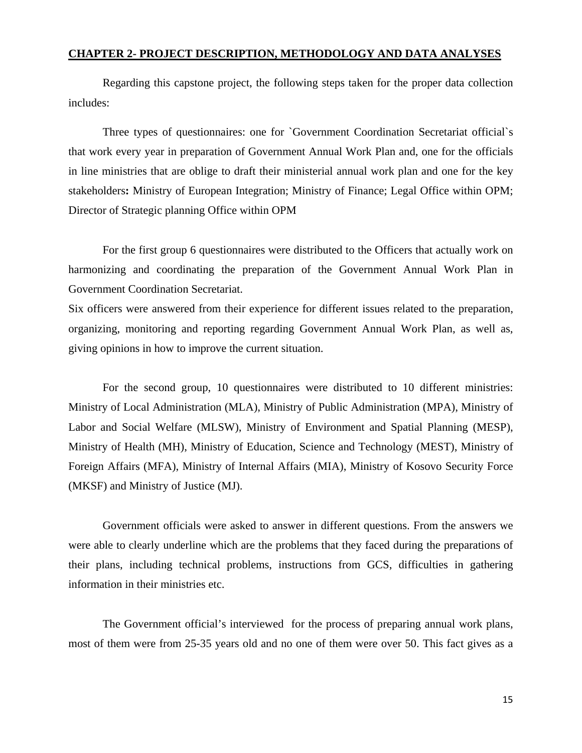# <span id="page-15-0"></span>**CHAPTER 2- PROJECT DESCRIPTION, METHODOLOGY AND DATA ANALYSES**

Regarding this capstone project, the following steps taken for the proper data collection includes:

Three types of questionnaires: one for `Government Coordination Secretariat official`s that work every year in preparation of Government Annual Work Plan and, one for the officials in line ministries that are oblige to draft their ministerial annual work plan and one for the key stakeholders**:** Ministry of European Integration; Ministry of Finance; Legal Office within OPM; Director of Strategic planning Office within OPM

For the first group 6 questionnaires were distributed to the Officers that actually work on harmonizing and coordinating the preparation of the Government Annual Work Plan in Government Coordination Secretariat.

Six officers were answered from their experience for different issues related to the preparation, organizing, monitoring and reporting regarding Government Annual Work Plan, as well as, giving opinions in how to improve the current situation.

For the second group, 10 questionnaires were distributed to 10 different ministries: Ministry of Local Administration (MLA), Ministry of Public Administration (MPA), Ministry of Labor and Social Welfare (MLSW), Ministry of Environment and Spatial Planning (MESP), Ministry of Health (MH), Ministry of Education, Science and Technology (MEST), Ministry of Foreign Affairs (MFA), Ministry of Internal Affairs (MIA), Ministry of Kosovo Security Force (MKSF) and Ministry of Justice (MJ).

Government officials were asked to answer in different questions. From the answers we were able to clearly underline which are the problems that they faced during the preparations of their plans, including technical problems, instructions from GCS, difficulties in gathering information in their ministries etc.

The Government official's interviewed for the process of preparing annual work plans, most of them were from 25-35 years old and no one of them were over 50. This fact gives as a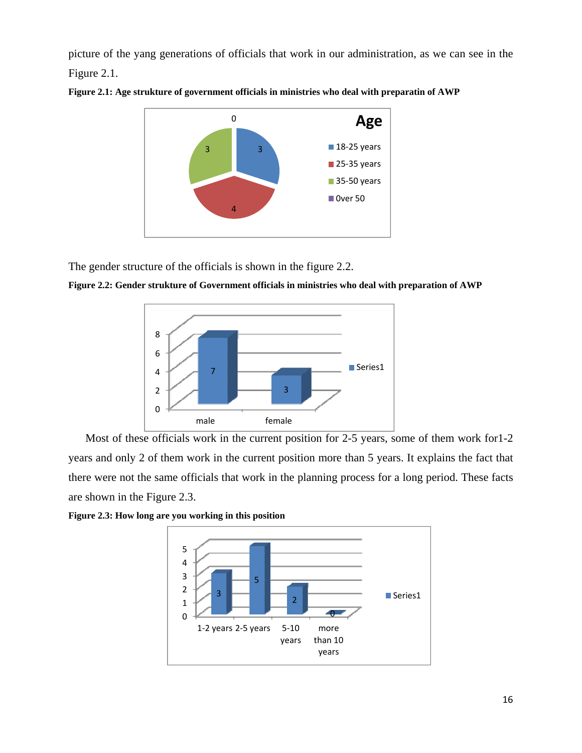<span id="page-16-0"></span>picture of the yang generations of officials that work in our administration, as we can see in the Figure 2.1.



**Figure 2.1: Age strukture of government officials in ministries who deal with preparatin of AWP** 

The gender structure of the officials is shown in the figure 2.2.

**Figure 2.2: Gender strukture of Government officials in ministries who deal with preparation of AWP**



Most of these officials work in the current position for 2-5 years, some of them work for 1-2 years and only 2 of them work in the current position more than 5 years. It explains the fact that there were not the same officials that work in the planning process for a long period. These facts are shown in the Figure 2.3.



**Figure 2.3: How long are you working in this position**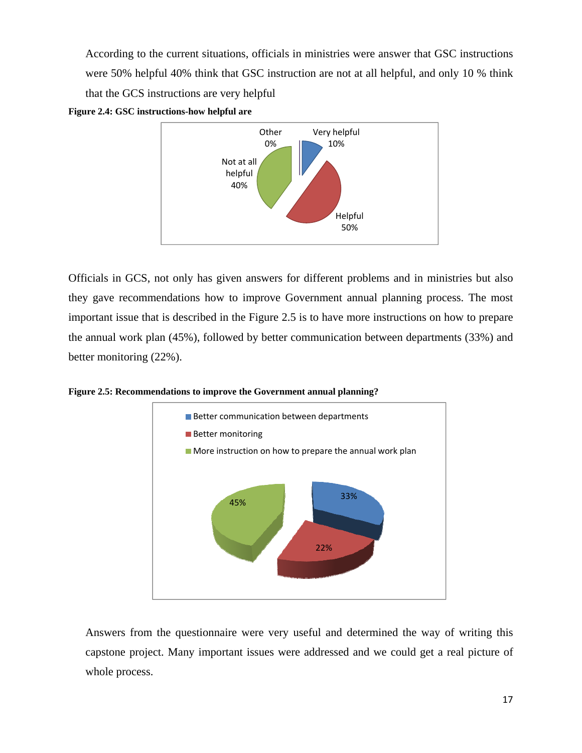According to the current situations, officials in ministries were answer that GSC instructions were 50% helpful 40% think that GSC instruction are not at all helpful, and only 10 % think that the GCS instructions are very helpful





Officials in GCS, not only has given answers for different problems and in ministries but also they gave recommendations how to improve Government annual planning process. The most important issue that is described in the Figure 2.5 is to have more instructions on how to prepare the annual work plan (45%), followed by better communication between departments (33%) and better monitoring (22%).

**Figure 2.5: Recommendations to improve the Government annual planning?**



Answers from the questionnaire were very useful and determined the way of writing this capstone project. Many important issues were addressed and we could get a real picture of whole process.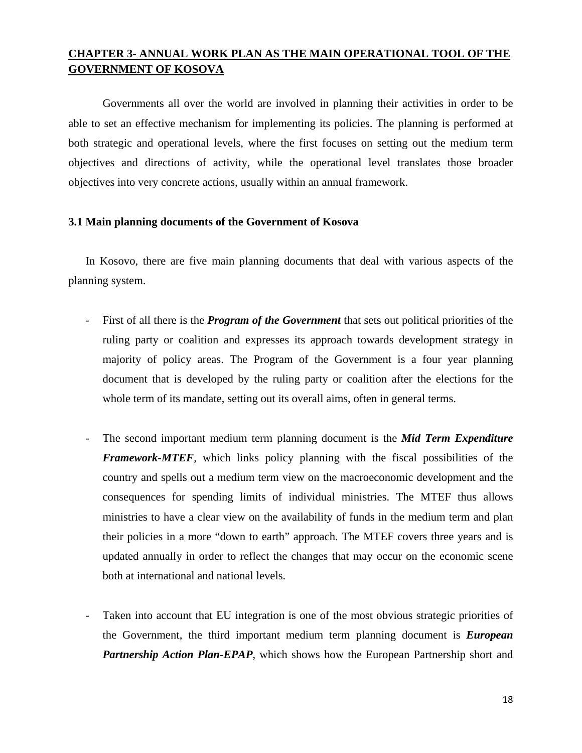# <span id="page-18-0"></span>**CHAPTER 3- ANNUAL WORK PLAN AS THE MAIN OPERATIONAL TOOL OF THE GOVERNMENT OF KOSOVA**

Governments all over the world are involved in planning their activities in order to be able to set an effective mechanism for implementing its policies. The planning is performed at both strategic and operational levels, where the first focuses on setting out the medium term objectives and directions of activity, while the operational level translates those broader objectives into very concrete actions, usually within an annual framework.

# **3.1 Main planning documents of the Government of Kosova**

In Kosovo, there are five main planning documents that deal with various aspects of the planning system.

- First of all there is the **Program of the Government** that sets out political priorities of the ruling party or coalition and expresses its approach towards development strategy in majority of policy areas. The Program of the Government is a four year planning document that is developed by the ruling party or coalition after the elections for the whole term of its mandate, setting out its overall aims, often in general terms.
- The second important medium term planning document is the *Mid Term Expenditure Framework*-*MTEF*, which links policy planning with the fiscal possibilities of the country and spells out a medium term view on the macroeconomic development and the consequences for spending limits of individual ministries. The MTEF thus allows ministries to have a clear view on the availability of funds in the medium term and plan their policies in a more "down to earth" approach. The MTEF covers three years and is updated annually in order to reflect the changes that may occur on the economic scene both at international and national levels.
- Taken into account that EU integration is one of the most obvious strategic priorities of the Government, the third important medium term planning document is *European Partnership Action Plan*-*EPAP*, which shows how the European Partnership short and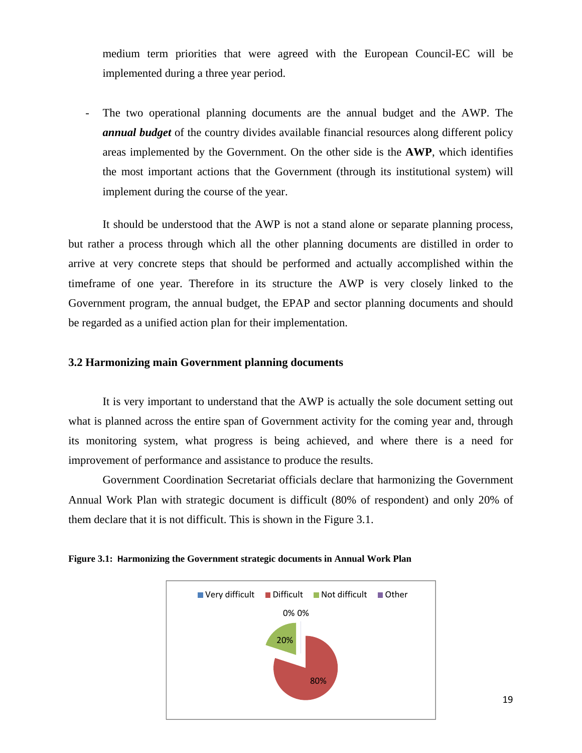<span id="page-19-0"></span>medium term priorities that were agreed with the European Council-EC will be implemented during a three year period.

The two operational planning documents are the annual budget and the AWP. The *annual budget* of the country divides available financial resources along different policy areas implemented by the Government. On the other side is the **AWP**, which identifies the most important actions that the Government (through its institutional system) will implement during the course of the year.

It should be understood that the AWP is not a stand alone or separate planning process, but rather a process through which all the other planning documents are distilled in order to arrive at very concrete steps that should be performed and actually accomplished within the timeframe of one year. Therefore in its structure the AWP is very closely linked to the Government program, the annual budget, the EPAP and sector planning documents and should be regarded as a unified action plan for their implementation.

# **3.2 Harmonizing main Government planning documents**

It is very important to understand that the AWP is actually the sole document setting out what is planned across the entire span of Government activity for the coming year and, through its monitoring system, what progress is being achieved, and where there is a need for improvement of performance and assistance to produce the results.

Government Coordination Secretariat officials declare that harmonizing the Government Annual Work Plan with strategic document is difficult (80% of respondent) and only 20% of them declare that it is not difficult. This is shown in the Figure 3.1.



**Figure 3.1: Harmonizing the Government strategic documents in Annual Work Plan**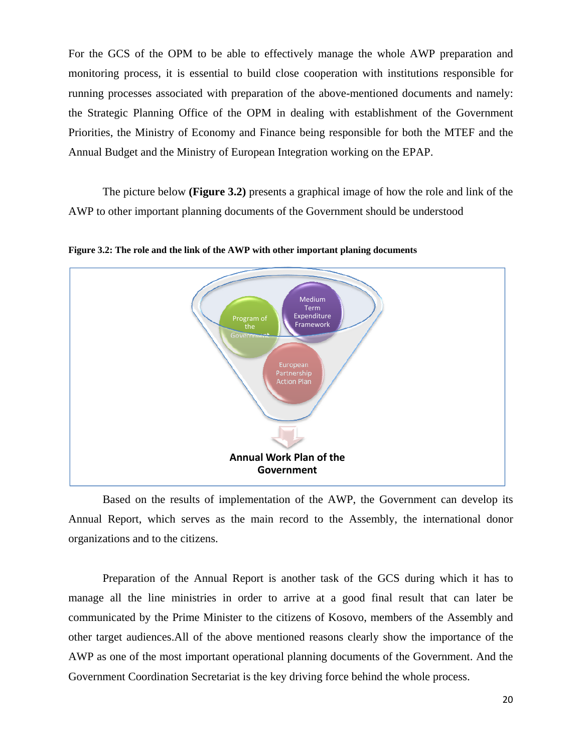<span id="page-20-0"></span>For the GCS of the OPM to be able to effectively manage the whole AWP preparation and monitoring process, it is essential to build close cooperation with institutions responsible for running processes associated with preparation of the above-mentioned documents and namely: the Strategic Planning Office of the OPM in dealing with establishment of the Government Priorities, the Ministry of Economy and Finance being responsible for both the MTEF and the Annual Budget and the Ministry of European Integration working on the EPAP.

The picture below **(Figure 3.2)** presents a graphical image of how the role and link of the AWP to other important planning documents of the Government should be understood



**Figure 3.2: The role and the link of the AWP with other important planing documents** 

Based on the results of implementation of the AWP, the Government can develop its Annual Report, which serves as the main record to the Assembly, the international donor organizations and to the citizens.

Preparation of the Annual Report is another task of the GCS during which it has to manage all the line ministries in order to arrive at a good final result that can later be communicated by the Prime Minister to the citizens of Kosovo, members of the Assembly and other target audiences.All of the above mentioned reasons clearly show the importance of the AWP as one of the most important operational planning documents of the Government. And the Government Coordination Secretariat is the key driving force behind the whole process.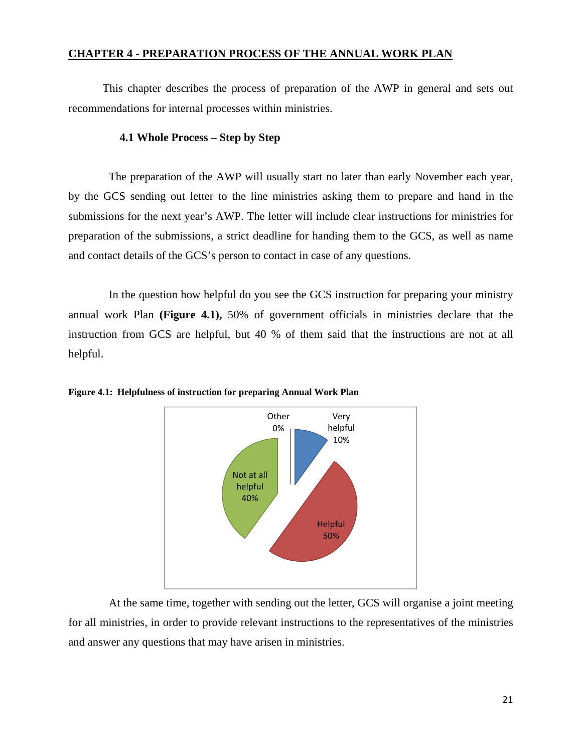# <span id="page-21-0"></span>**CHAPTER 4 - PREPARATION PROCESS OF THE ANNUAL WORK PLAN**

This chapter describes the process of preparation of the AWP in general and sets out recommendations for internal processes within ministries.

# **4.1 Whole Process – Step by Step**

 The preparation of the AWP will usually start no later than early November each year, by the GCS sending out letter to the line ministries asking them to prepare and hand in the submissions for the next year's AWP. The letter will include clear instructions for ministries for preparation of the submissions, a strict deadline for handing them to the GCS, as well as name and contact details of the GCS's person to contact in case of any questions.

 In the question how helpful do you see the GCS instruction for preparing your ministry annual work Plan **(Figure 4.1),** 50% of government officials in ministries declare that the instruction from GCS are helpful, but 40 % of them said that the instructions are not at all helpful.



**Figure 4.1: Helpfulness of instruction for preparing Annual Work Plan**

 At the same time, together with sending out the letter, GCS will organise a joint meeting for all ministries, in order to provide relevant instructions to the representatives of the ministries and answer any questions that may have arisen in ministries.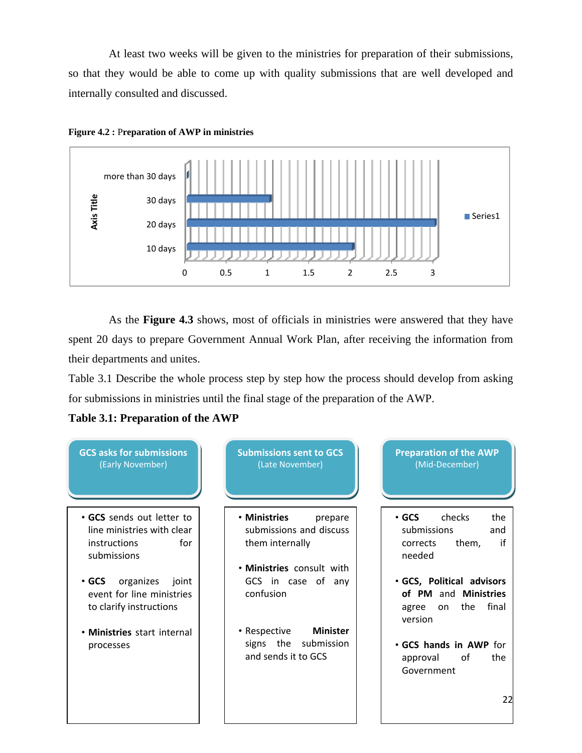<span id="page-22-0"></span> At least two weeks will be given to the ministries for preparation of their submissions, so that they would be able to come up with quality submissions that are well developed and internally consulted and discussed.





 As the **Figure 4.3** shows, most of officials in ministries were answered that they have spent 20 days to prepare Government Annual Work Plan, after receiving the information from their departments and unites.

Table 3.1 Describe the whole process step by step how the process should develop from asking for submissions in ministries until the final stage of the preparation of the AWP.



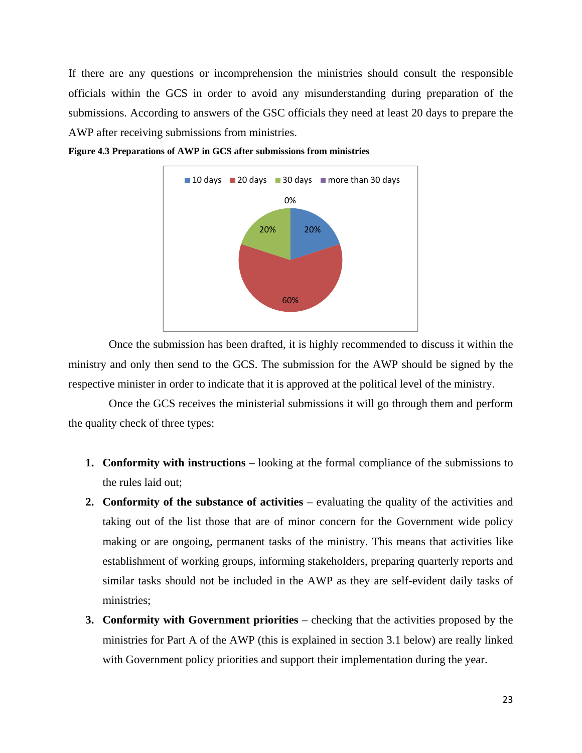<span id="page-23-0"></span>If there are any questions or incomprehension the ministries should consult the responsible officials within the GCS in order to avoid any misunderstanding during preparation of the submissions. According to answers of the GSC officials they need at least 20 days to prepare the AWP after receiving submissions from ministries.



**Figure 4.3 Preparations of AWP in GCS after submissions from ministries**

 Once the submission has been drafted, it is highly recommended to discuss it within the ministry and only then send to the GCS. The submission for the AWP should be signed by the respective minister in order to indicate that it is approved at the political level of the ministry.

 Once the GCS receives the ministerial submissions it will go through them and perform the quality check of three types:

- **1. Conformity with instructions** looking at the formal compliance of the submissions to the rules laid out;
- **2. Conformity of the substance of activities** evaluating the quality of the activities and taking out of the list those that are of minor concern for the Government wide policy making or are ongoing, permanent tasks of the ministry. This means that activities like establishment of working groups, informing stakeholders, preparing quarterly reports and similar tasks should not be included in the AWP as they are self-evident daily tasks of ministries;
- **3. Conformity with Government priorities** checking that the activities proposed by the ministries for Part A of the AWP (this is explained in section 3.1 below) are really linked with Government policy priorities and support their implementation during the year.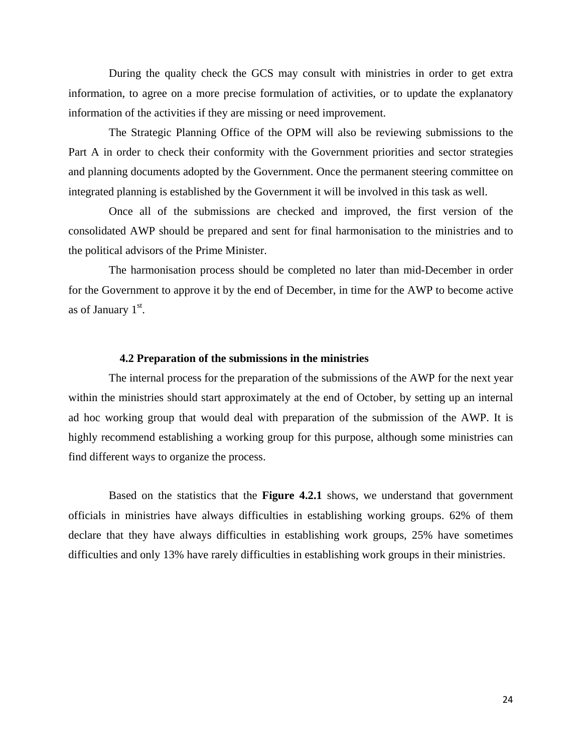<span id="page-24-0"></span> During the quality check the GCS may consult with ministries in order to get extra information, to agree on a more precise formulation of activities, or to update the explanatory information of the activities if they are missing or need improvement.

 The Strategic Planning Office of the OPM will also be reviewing submissions to the Part A in order to check their conformity with the Government priorities and sector strategies and planning documents adopted by the Government. Once the permanent steering committee on integrated planning is established by the Government it will be involved in this task as well.

 Once all of the submissions are checked and improved, the first version of the consolidated AWP should be prepared and sent for final harmonisation to the ministries and to the political advisors of the Prime Minister.

 The harmonisation process should be completed no later than mid-December in order for the Government to approve it by the end of December, in time for the AWP to become active as of January  $1<sup>st</sup>$ .

#### **4.2 Preparation of the submissions in the ministries**

 The internal process for the preparation of the submissions of the AWP for the next year within the ministries should start approximately at the end of October, by setting up an internal ad hoc working group that would deal with preparation of the submission of the AWP. It is highly recommend establishing a working group for this purpose, although some ministries can find different ways to organize the process.

Based on the statistics that the **Figure 4.2.1** shows, we understand that government officials in ministries have always difficulties in establishing working groups. 62% of them declare that they have always difficulties in establishing work groups, 25% have sometimes difficulties and only 13% have rarely difficulties in establishing work groups in their ministries.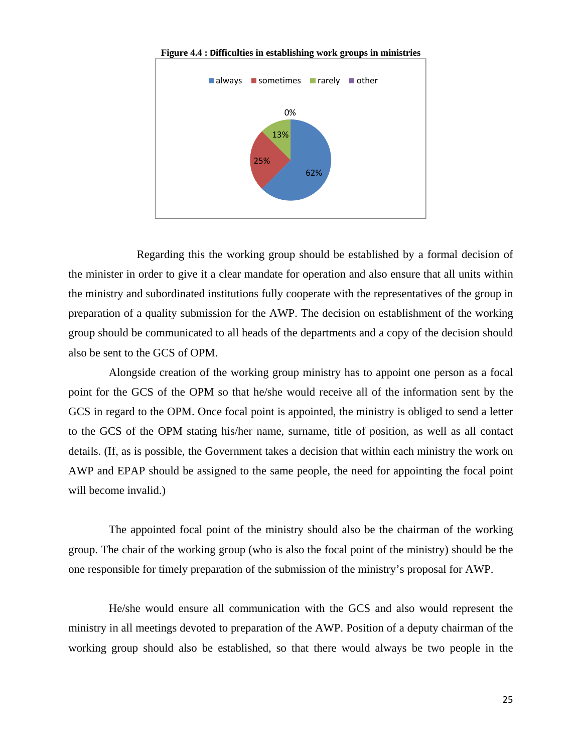<span id="page-25-0"></span>

**Figure 4.4 : Difficulties in establishing work groups in ministries** 

 Regarding this the working group should be established by a formal decision of the minister in order to give it a clear mandate for operation and also ensure that all units within the ministry and subordinated institutions fully cooperate with the representatives of the group in preparation of a quality submission for the AWP. The decision on establishment of the working group should be communicated to all heads of the departments and a copy of the decision should also be sent to the GCS of OPM.

 Alongside creation of the working group ministry has to appoint one person as a focal point for the GCS of the OPM so that he/she would receive all of the information sent by the GCS in regard to the OPM. Once focal point is appointed, the ministry is obliged to send a letter to the GCS of the OPM stating his/her name, surname, title of position, as well as all contact details. (If, as is possible, the Government takes a decision that within each ministry the work on AWP and EPAP should be assigned to the same people, the need for appointing the focal point will become invalid.)

 The appointed focal point of the ministry should also be the chairman of the working group. The chair of the working group (who is also the focal point of the ministry) should be the one responsible for timely preparation of the submission of the ministry's proposal for AWP.

 He/she would ensure all communication with the GCS and also would represent the ministry in all meetings devoted to preparation of the AWP. Position of a deputy chairman of the working group should also be established, so that there would always be two people in the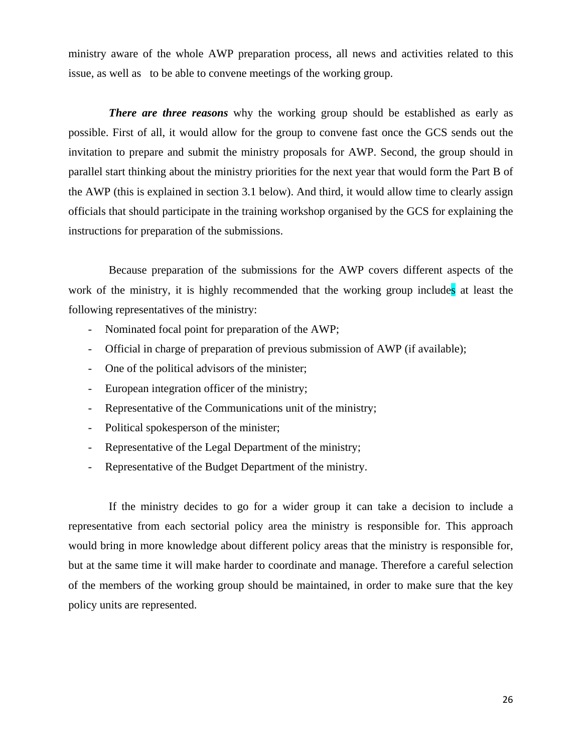ministry aware of the whole AWP preparation process, all news and activities related to this issue, as well as to be able to convene meetings of the working group.

*There are three reasons* why the working group should be established as early as possible. First of all, it would allow for the group to convene fast once the GCS sends out the invitation to prepare and submit the ministry proposals for AWP. Second, the group should in parallel start thinking about the ministry priorities for the next year that would form the Part B of the AWP (this is explained in section 3.1 below). And third, it would allow time to clearly assign officials that should participate in the training workshop organised by the GCS for explaining the instructions for preparation of the submissions.

 Because preparation of the submissions for the AWP covers different aspects of the work of the ministry, it is highly recommended that the working group includes at least the following representatives of the ministry:

- Nominated focal point for preparation of the AWP;
- Official in charge of preparation of previous submission of AWP (if available);
- One of the political advisors of the minister;
- European integration officer of the ministry;
- Representative of the Communications unit of the ministry;
- Political spokesperson of the minister;
- Representative of the Legal Department of the ministry;
- Representative of the Budget Department of the ministry.

 If the ministry decides to go for a wider group it can take a decision to include a representative from each sectorial policy area the ministry is responsible for. This approach would bring in more knowledge about different policy areas that the ministry is responsible for, but at the same time it will make harder to coordinate and manage. Therefore a careful selection of the members of the working group should be maintained, in order to make sure that the key policy units are represented.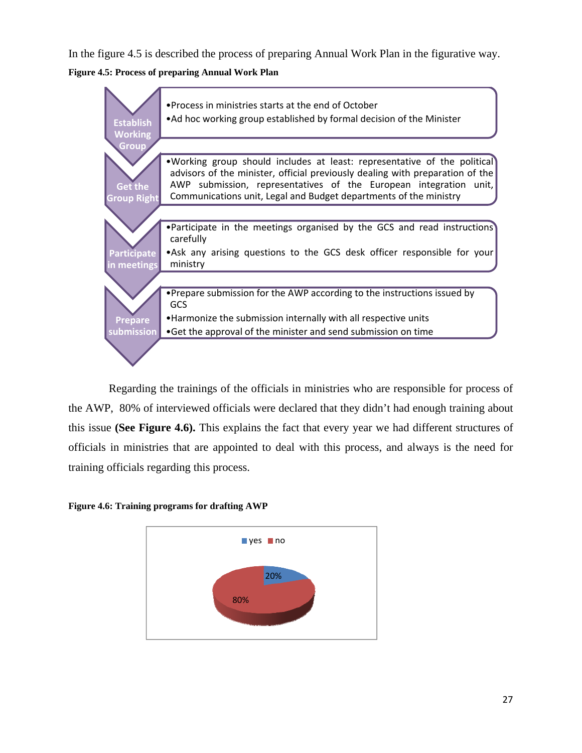<span id="page-27-0"></span>In the figure 4.5 is described the process of preparing Annual Work Plan in the figurative way.

**Figure 4.5: Process of preparing Annual Work Plan** 



 Regarding the trainings of the officials in ministries who are responsible for process of the AWP, 80% of interviewed officials were declared that they didn't had enough training about this issue **(See Figure 4.6).** This explains the fact that every year we had different structures of officials in ministries that are appointed to deal with this process, and always is the need for training officials regarding this process.

**Figure 4.6: Training programs for drafting AWP** 

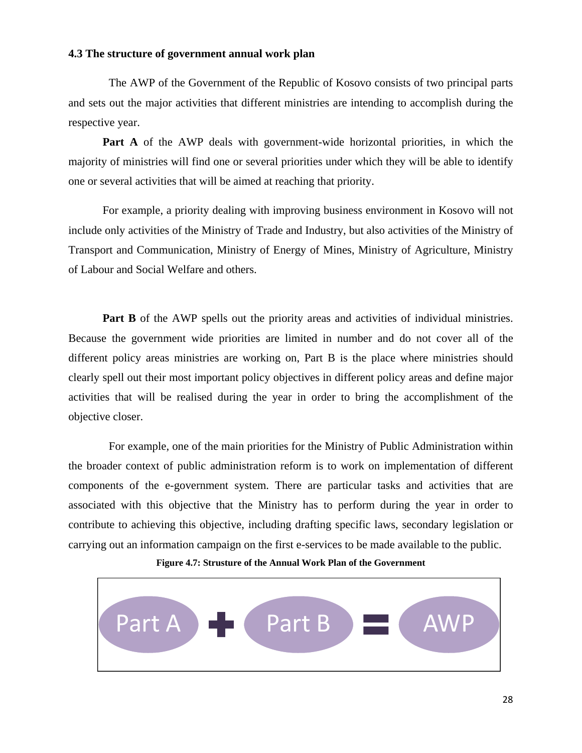# <span id="page-28-0"></span>**4.3 The structure of government annual work plan**

 The AWP of the Government of the Republic of Kosovo consists of two principal parts and sets out the major activities that different ministries are intending to accomplish during the respective year.

**Part A** of the AWP deals with government-wide horizontal priorities, in which the majority of ministries will find one or several priorities under which they will be able to identify one or several activities that will be aimed at reaching that priority.

For example, a priority dealing with improving business environment in Kosovo will not include only activities of the Ministry of Trade and Industry, but also activities of the Ministry of Transport and Communication, Ministry of Energy of Mines, Ministry of Agriculture, Ministry of Labour and Social Welfare and others.

Part B of the AWP spells out the priority areas and activities of individual ministries. Because the government wide priorities are limited in number and do not cover all of the different policy areas ministries are working on, Part B is the place where ministries should clearly spell out their most important policy objectives in different policy areas and define major activities that will be realised during the year in order to bring the accomplishment of the objective closer.

 For example, one of the main priorities for the Ministry of Public Administration within the broader context of public administration reform is to work on implementation of different components of the e-government system. There are particular tasks and activities that are associated with this objective that the Ministry has to perform during the year in order to contribute to achieving this objective, including drafting specific laws, secondary legislation or carrying out an information campaign on the first e-services to be made available to the public.

**Figure 4.7: Strusture of the Annual Work Plan of the Government** 

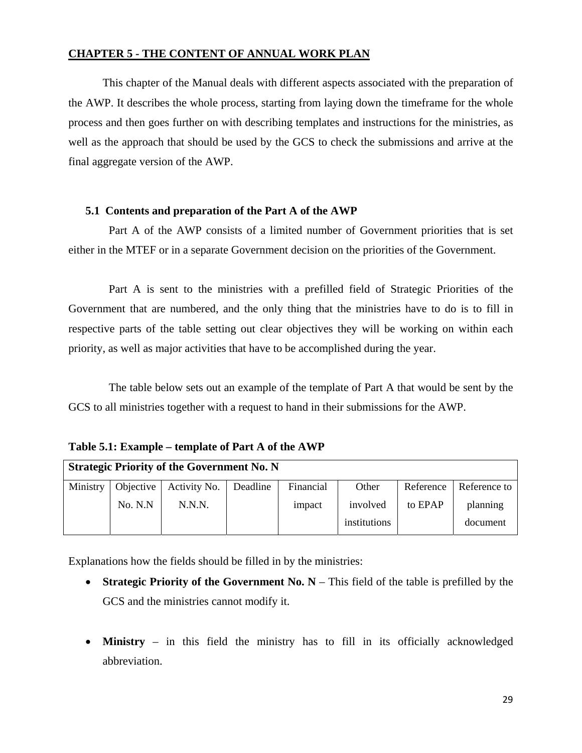# <span id="page-29-0"></span>**CHAPTER 5 - THE CONTENT OF ANNUAL WORK PLAN**

This chapter of the Manual deals with different aspects associated with the preparation of the AWP. It describes the whole process, starting from laying down the timeframe for the whole process and then goes further on with describing templates and instructions for the ministries, as well as the approach that should be used by the GCS to check the submissions and arrive at the final aggregate version of the AWP.

# **5.1 Contents and preparation of the Part A of the AWP**

 Part A of the AWP consists of a limited number of Government priorities that is set either in the MTEF or in a separate Government decision on the priorities of the Government.

 Part A is sent to the ministries with a prefilled field of Strategic Priorities of the Government that are numbered, and the only thing that the ministries have to do is to fill in respective parts of the table setting out clear objectives they will be working on within each priority, as well as major activities that have to be accomplished during the year.

 The table below sets out an example of the template of Part A that would be sent by the GCS to all ministries together with a request to hand in their submissions for the AWP.

**Table 5.1: Example – template of Part A of the AWP** 

| <b>Strategic Priority of the Government No. N</b> |           |                         |  |           |              |           |              |
|---------------------------------------------------|-----------|-------------------------|--|-----------|--------------|-----------|--------------|
| Ministry                                          | Objective | Activity No.   Deadline |  | Financial | Other        | Reference | Reference to |
|                                                   | No. N.N   | N.N.N.                  |  | impact    | involved     | to EPAP   | planning     |
|                                                   |           |                         |  |           | institutions |           | document     |

Explanations how the fields should be filled in by the ministries:

- **Strategic Priority of the Government No. N** This field of the table is prefilled by the GCS and the ministries cannot modify it.
- **Ministry** in this field the ministry has to fill in its officially acknowledged abbreviation.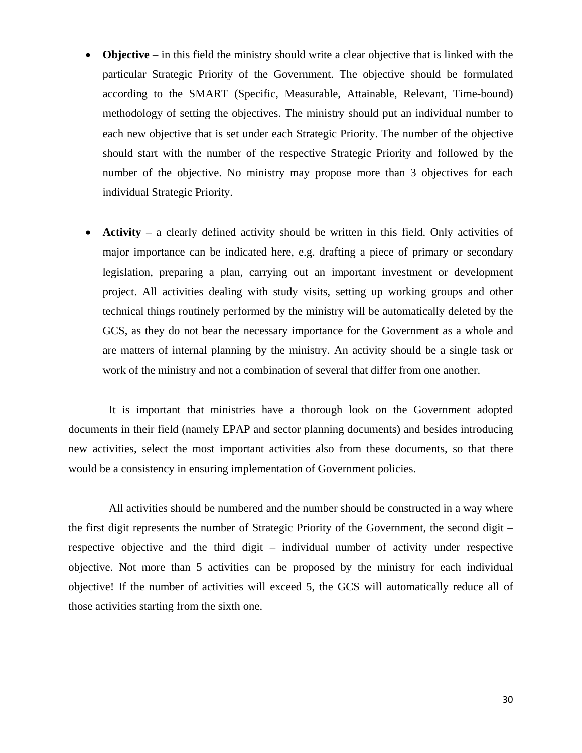- **Objective** in this field the ministry should write a clear objective that is linked with the particular Strategic Priority of the Government. The objective should be formulated according to the SMART (Specific, Measurable, Attainable, Relevant, Time-bound) methodology of setting the objectives. The ministry should put an individual number to each new objective that is set under each Strategic Priority. The number of the objective should start with the number of the respective Strategic Priority and followed by the number of the objective. No ministry may propose more than 3 objectives for each individual Strategic Priority.
- **Activity** a clearly defined activity should be written in this field. Only activities of major importance can be indicated here, e.g. drafting a piece of primary or secondary legislation, preparing a plan, carrying out an important investment or development project. All activities dealing with study visits, setting up working groups and other technical things routinely performed by the ministry will be automatically deleted by the GCS, as they do not bear the necessary importance for the Government as a whole and are matters of internal planning by the ministry. An activity should be a single task or work of the ministry and not a combination of several that differ from one another.

 It is important that ministries have a thorough look on the Government adopted documents in their field (namely EPAP and sector planning documents) and besides introducing new activities, select the most important activities also from these documents, so that there would be a consistency in ensuring implementation of Government policies.

 All activities should be numbered and the number should be constructed in a way where the first digit represents the number of Strategic Priority of the Government, the second digit – respective objective and the third digit – individual number of activity under respective objective. Not more than 5 activities can be proposed by the ministry for each individual objective! If the number of activities will exceed 5, the GCS will automatically reduce all of those activities starting from the sixth one.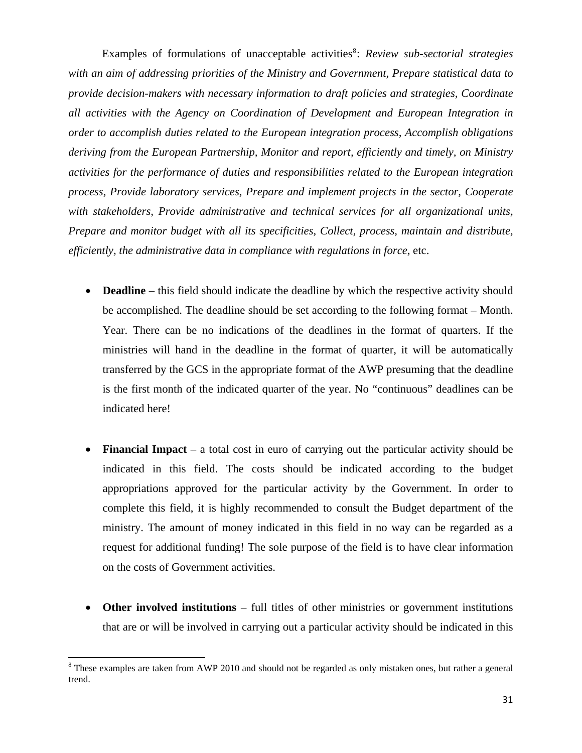Examples of formulations of unacceptable activities<sup>[8](#page-31-0)</sup>: *Review sub-sectorial strategies with an aim of addressing priorities of the Ministry and Government, Prepare statistical data to provide decision-makers with necessary information to draft policies and strategies, Coordinate all activities with the Agency on Coordination of Development and European Integration in order to accomplish duties related to the European integration process, Accomplish obligations deriving from the European Partnership, Monitor and report, efficiently and timely, on Ministry activities for the performance of duties and responsibilities related to the European integration process, Provide laboratory services, Prepare and implement projects in the sector, Cooperate with stakeholders, Provide administrative and technical services for all organizational units, Prepare and monitor budget with all its specificities, Collect, process, maintain and distribute, efficiently, the administrative data in compliance with regulations in force*, etc.

- **Deadline** this field should indicate the deadline by which the respective activity should be accomplished. The deadline should be set according to the following format – Month. Year. There can be no indications of the deadlines in the format of quarters. If the ministries will hand in the deadline in the format of quarter, it will be automatically transferred by the GCS in the appropriate format of the AWP presuming that the deadline is the first month of the indicated quarter of the year. No "continuous" deadlines can be indicated here!
- **Financial Impact** a total cost in euro of carrying out the particular activity should be indicated in this field. The costs should be indicated according to the budget appropriations approved for the particular activity by the Government. In order to complete this field, it is highly recommended to consult the Budget department of the ministry. The amount of money indicated in this field in no way can be regarded as a request for additional funding! The sole purpose of the field is to have clear information on the costs of Government activities.
- **Other involved institutions** full titles of other ministries or government institutions that are or will be involved in carrying out a particular activity should be indicated in this

<span id="page-31-0"></span> $8$  These examples are taken from AWP 2010 and should not be regarded as only mistaken ones, but rather a general trend.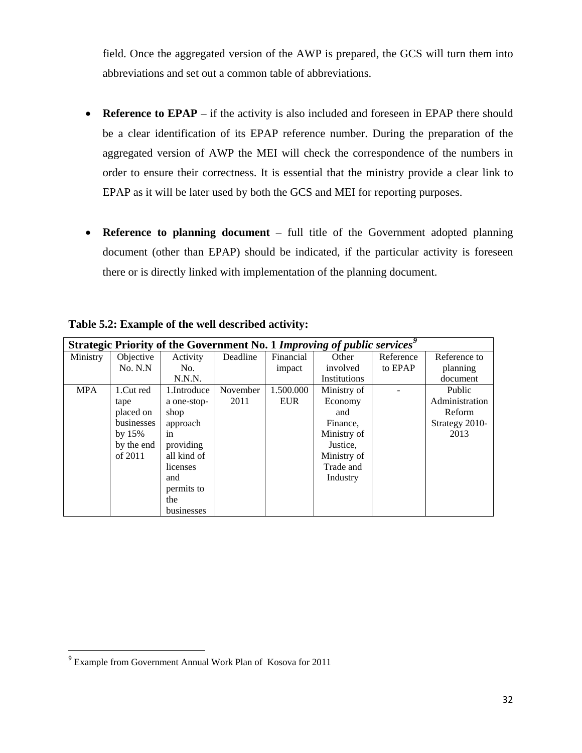<span id="page-32-0"></span>field. Once the aggregated version of the AWP is prepared, the GCS will turn them into abbreviations and set out a common table of abbreviations.

- **Reference to EPAP** if the activity is also included and foreseen in EPAP there should be a clear identification of its EPAP reference number. During the preparation of the aggregated version of AWP the MEI will check the correspondence of the numbers in order to ensure their correctness. It is essential that the ministry provide a clear link to EPAP as it will be later used by both the GCS and MEI for reporting purposes.
- **Reference to planning document** full title of the Government adopted planning document (other than EPAP) should be indicated, if the particular activity is foreseen there or is directly linked with implementation of the planning document.

|            | <b>Strategic Priority of the Government No. 1 Improving of public services</b> <sup>9</sup> |             |          |            |              |           |                |
|------------|---------------------------------------------------------------------------------------------|-------------|----------|------------|--------------|-----------|----------------|
| Ministry   | Objective                                                                                   | Activity    | Deadline | Financial  | Other        | Reference | Reference to   |
|            | No. N.N                                                                                     | No.         |          | impact     | involved     | to EPAP   | planning       |
|            |                                                                                             | N.N.N.      |          |            | Institutions |           | document       |
| <b>MPA</b> | 1.Cut red                                                                                   | 1.Introduce | November | 1.500.000  | Ministry of  |           | Public         |
|            | tape                                                                                        | a one-stop- | 2011     | <b>EUR</b> | Economy      |           | Administration |
|            | placed on                                                                                   | shop        |          |            | and          |           | Reform         |
|            | businesses                                                                                  | approach    |          |            | Finance,     |           | Strategy 2010- |
|            | by $15%$                                                                                    | in          |          |            | Ministry of  |           | 2013           |
|            | by the end                                                                                  | providing   |          |            | Justice.     |           |                |
|            | of $2011$                                                                                   | all kind of |          |            | Ministry of  |           |                |
|            |                                                                                             | licenses    |          |            | Trade and    |           |                |
|            |                                                                                             | and         |          |            | Industry     |           |                |
|            |                                                                                             | permits to  |          |            |              |           |                |
|            |                                                                                             | the         |          |            |              |           |                |
|            |                                                                                             | businesses  |          |            |              |           |                |

**Table 5.2: Example of the well described activity:** 

<span id="page-32-1"></span><sup>9</sup> Example from Government Annual Work Plan of Kosova for 2011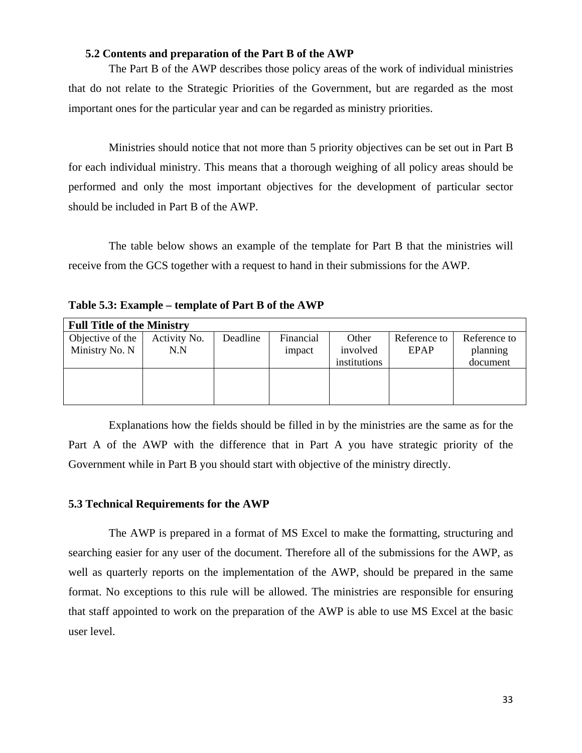# **5.2 Contents and preparation of the Part B of the AWP**

<span id="page-33-0"></span> The Part B of the AWP describes those policy areas of the work of individual ministries that do not relate to the Strategic Priorities of the Government, but are regarded as the most important ones for the particular year and can be regarded as ministry priorities.

 Ministries should notice that not more than 5 priority objectives can be set out in Part B for each individual ministry. This means that a thorough weighing of all policy areas should be performed and only the most important objectives for the development of particular sector should be included in Part B of the AWP.

 The table below shows an example of the template for Part B that the ministries will receive from the GCS together with a request to hand in their submissions for the AWP.

**Table 5.3: Example – template of Part B of the AWP** 

| <b>Full Title of the Ministry</b> |              |          |           |              |              |              |
|-----------------------------------|--------------|----------|-----------|--------------|--------------|--------------|
| Objective of the                  | Activity No. | Deadline | Financial | Other        | Reference to | Reference to |
| Ministry No. N                    | N.N          |          | impact    | involved     | EPAP         | planning     |
|                                   |              |          |           | institutions |              | document     |
|                                   |              |          |           |              |              |              |
|                                   |              |          |           |              |              |              |
|                                   |              |          |           |              |              |              |

 Explanations how the fields should be filled in by the ministries are the same as for the Part A of the AWP with the difference that in Part A you have strategic priority of the Government while in Part B you should start with objective of the ministry directly.

# **5.3 Technical Requirements for the AWP**

 The AWP is prepared in a format of MS Excel to make the formatting, structuring and searching easier for any user of the document. Therefore all of the submissions for the AWP, as well as quarterly reports on the implementation of the AWP, should be prepared in the same format. No exceptions to this rule will be allowed. The ministries are responsible for ensuring that staff appointed to work on the preparation of the AWP is able to use MS Excel at the basic user level.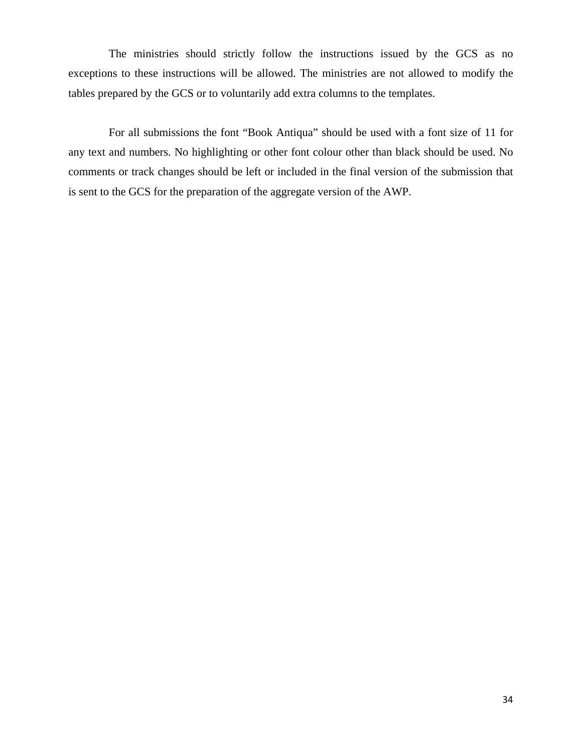The ministries should strictly follow the instructions issued by the GCS as no exceptions to these instructions will be allowed. The ministries are not allowed to modify the tables prepared by the GCS or to voluntarily add extra columns to the templates.

 For all submissions the font "Book Antiqua" should be used with a font size of 11 for any text and numbers. No highlighting or other font colour other than black should be used. No comments or track changes should be left or included in the final version of the submission that is sent to the GCS for the preparation of the aggregate version of the AWP.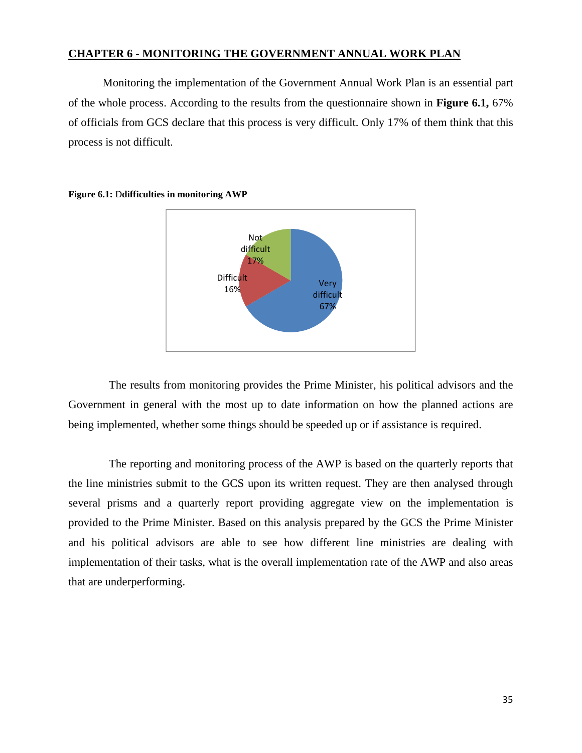# <span id="page-35-0"></span>**CHAPTER 6 - MONITORING THE GOVERNMENT ANNUAL WORK PLAN**

Monitoring the implementation of the Government Annual Work Plan is an essential part of the whole process. According to the results from the questionnaire shown in **Figure 6.1,** 67% of officials from GCS declare that this process is very difficult. Only 17% of them think that this process is not difficult.



**Figure 6.1:** D**difficulties in monitoring AWP** 

 The results from monitoring provides the Prime Minister, his political advisors and the Government in general with the most up to date information on how the planned actions are being implemented, whether some things should be speeded up or if assistance is required.

 The reporting and monitoring process of the AWP is based on the quarterly reports that the line ministries submit to the GCS upon its written request. They are then analysed through several prisms and a quarterly report providing aggregate view on the implementation is provided to the Prime Minister. Based on this analysis prepared by the GCS the Prime Minister and his political advisors are able to see how different line ministries are dealing with implementation of their tasks, what is the overall implementation rate of the AWP and also areas that are underperforming.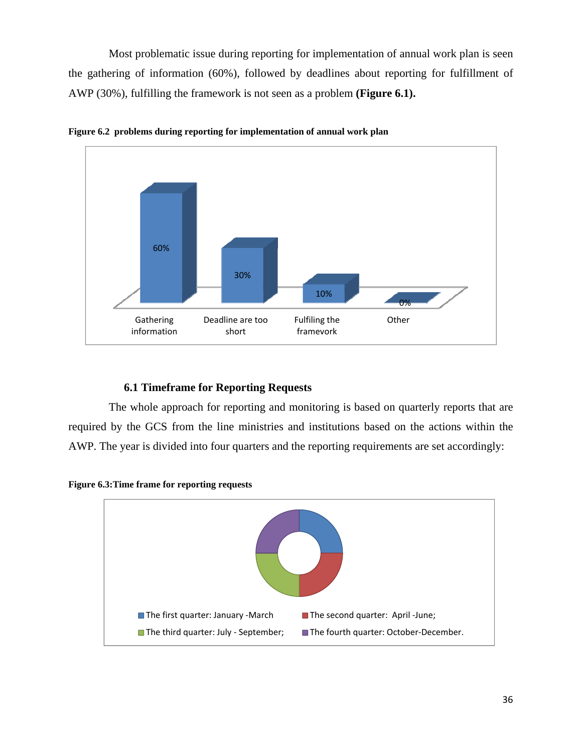<span id="page-36-0"></span> Most problematic issue during reporting for implementation of annual work plan is seen the gathering of information (60%), followed by deadlines about reporting for fulfillment of AWP (30%), fulfilling the framework is not seen as a problem **(Figure 6.1).**



**Figure 6.2 problems during reporting for implementation of annual work plan** 

# **6.1 Timeframe for Reporting Requests**

 The whole approach for reporting and monitoring is based on quarterly reports that are required by the GCS from the line ministries and institutions based on the actions within the AWP. The year is divided into four quarters and the reporting requirements are set accordingly:



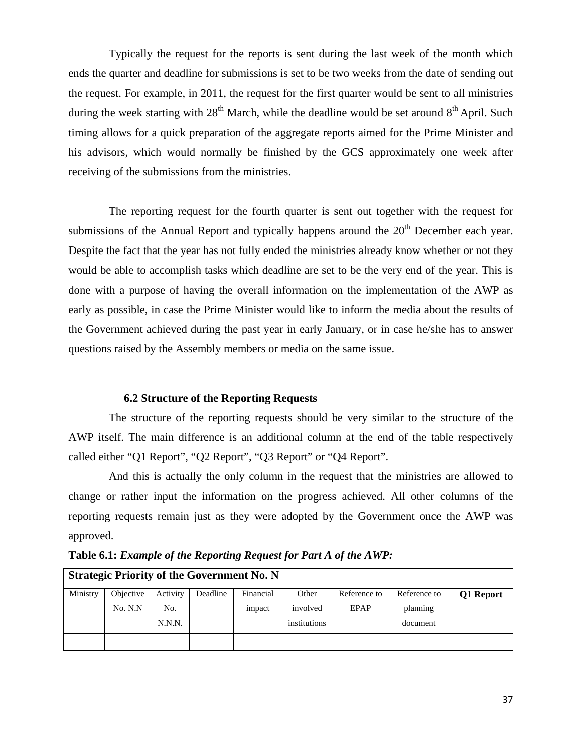<span id="page-37-0"></span> Typically the request for the reports is sent during the last week of the month which ends the quarter and deadline for submissions is set to be two weeks from the date of sending out the request. For example, in 2011, the request for the first quarter would be sent to all ministries during the week starting with  $28<sup>th</sup>$  March, while the deadline would be set around  $8<sup>th</sup>$  April. Such timing allows for a quick preparation of the aggregate reports aimed for the Prime Minister and his advisors, which would normally be finished by the GCS approximately one week after receiving of the submissions from the ministries.

 The reporting request for the fourth quarter is sent out together with the request for submissions of the Annual Report and typically happens around the  $20<sup>th</sup>$  December each year. Despite the fact that the year has not fully ended the ministries already know whether or not they would be able to accomplish tasks which deadline are set to be the very end of the year. This is done with a purpose of having the overall information on the implementation of the AWP as early as possible, in case the Prime Minister would like to inform the media about the results of the Government achieved during the past year in early January, or in case he/she has to answer questions raised by the Assembly members or media on the same issue.

# **6.2 Structure of the Reporting Requests**

 The structure of the reporting requests should be very similar to the structure of the AWP itself. The main difference is an additional column at the end of the table respectively called either "Q1 Report", "Q2 Report", "Q3 Report" or "Q4 Report".

 And this is actually the only column in the request that the ministries are allowed to change or rather input the information on the progress achieved. All other columns of the reporting requests remain just as they were adopted by the Government once the AWP was approved.

|          | <b>Strategic Priority of the Government No. N</b> |          |          |           |              |              |              |           |
|----------|---------------------------------------------------|----------|----------|-----------|--------------|--------------|--------------|-----------|
| Ministry | Objective                                         | Activity | Deadline | Financial | Other        | Reference to | Reference to | Q1 Report |
|          | No. N.N                                           | No.      |          | impact    | involved     | EPAP         | planning     |           |
|          |                                                   | N.N.N.   |          |           | institutions |              | document     |           |
|          |                                                   |          |          |           |              |              |              |           |

**Table 6.1:** *Example of the Reporting Request for Part A of the AWP:*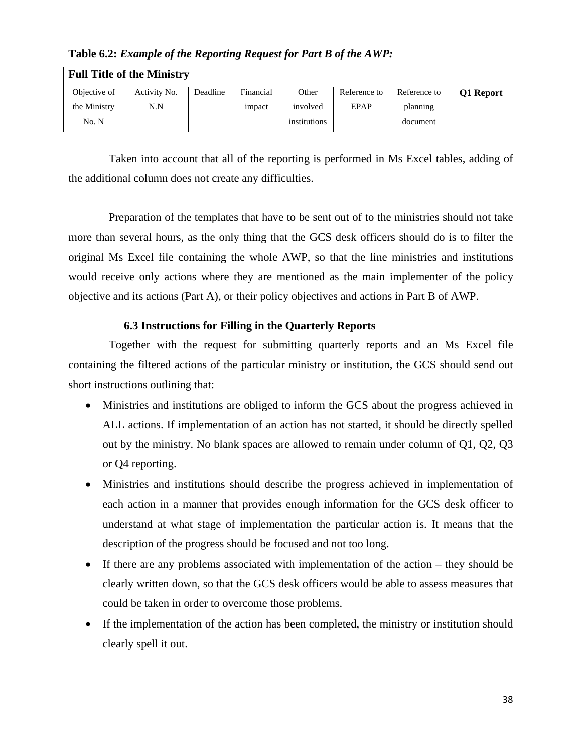| <b>Full Title of the Ministry</b> |              |          |           |              |              |              |           |
|-----------------------------------|--------------|----------|-----------|--------------|--------------|--------------|-----------|
| Objective of                      | Activity No. | Deadline | Financial | Other        | Reference to | Reference to | Q1 Report |
| the Ministry                      | N.N          |          | impact    | involved     | EPAP         | planning     |           |
| No. N                             |              |          |           | institutions |              | document     |           |

<span id="page-38-0"></span>**Table 6.2:** *Example of the Reporting Request for Part B of the AWP:* 

 Taken into account that all of the reporting is performed in Ms Excel tables, adding of the additional column does not create any difficulties.

 Preparation of the templates that have to be sent out of to the ministries should not take more than several hours, as the only thing that the GCS desk officers should do is to filter the original Ms Excel file containing the whole AWP, so that the line ministries and institutions would receive only actions where they are mentioned as the main implementer of the policy objective and its actions (Part A), or their policy objectives and actions in Part B of AWP.

# **6.3 Instructions for Filling in the Quarterly Reports**

 Together with the request for submitting quarterly reports and an Ms Excel file containing the filtered actions of the particular ministry or institution, the GCS should send out short instructions outlining that:

- Ministries and institutions are obliged to inform the GCS about the progress achieved in ALL actions. If implementation of an action has not started, it should be directly spelled out by the ministry. No blank spaces are allowed to remain under column of Q1, Q2, Q3 or Q4 reporting.
- Ministries and institutions should describe the progress achieved in implementation of each action in a manner that provides enough information for the GCS desk officer to understand at what stage of implementation the particular action is. It means that the description of the progress should be focused and not too long.
- If there are any problems associated with implementation of the action they should be clearly written down, so that the GCS desk officers would be able to assess measures that could be taken in order to overcome those problems.
- If the implementation of the action has been completed, the ministry or institution should clearly spell it out.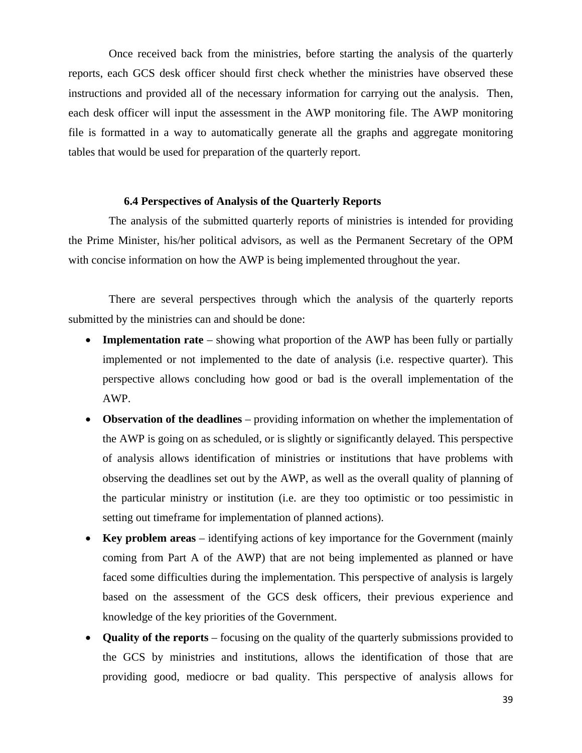<span id="page-39-0"></span> Once received back from the ministries, before starting the analysis of the quarterly reports, each GCS desk officer should first check whether the ministries have observed these instructions and provided all of the necessary information for carrying out the analysis. Then, each desk officer will input the assessment in the AWP monitoring file. The AWP monitoring file is formatted in a way to automatically generate all the graphs and aggregate monitoring tables that would be used for preparation of the quarterly report.

# **6.4 Perspectives of Analysis of the Quarterly Reports**

 The analysis of the submitted quarterly reports of ministries is intended for providing the Prime Minister, his/her political advisors, as well as the Permanent Secretary of the OPM with concise information on how the AWP is being implemented throughout the year.

 There are several perspectives through which the analysis of the quarterly reports submitted by the ministries can and should be done:

- **Implementation rate** showing what proportion of the AWP has been fully or partially implemented or not implemented to the date of analysis (i.e. respective quarter). This perspective allows concluding how good or bad is the overall implementation of the AWP.
- **Observation of the deadlines** providing information on whether the implementation of the AWP is going on as scheduled, or is slightly or significantly delayed. This perspective of analysis allows identification of ministries or institutions that have problems with observing the deadlines set out by the AWP, as well as the overall quality of planning of the particular ministry or institution (i.e. are they too optimistic or too pessimistic in setting out timeframe for implementation of planned actions).
- **Key problem areas** identifying actions of key importance for the Government (mainly coming from Part A of the AWP) that are not being implemented as planned or have faced some difficulties during the implementation. This perspective of analysis is largely based on the assessment of the GCS desk officers, their previous experience and knowledge of the key priorities of the Government.
- **Quality of the reports** focusing on the quality of the quarterly submissions provided to the GCS by ministries and institutions, allows the identification of those that are providing good, mediocre or bad quality. This perspective of analysis allows for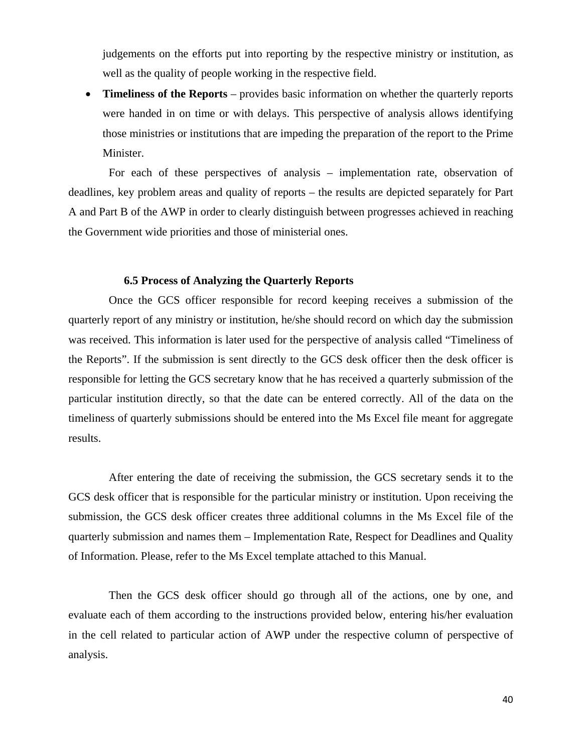<span id="page-40-0"></span>judgements on the efforts put into reporting by the respective ministry or institution, as well as the quality of people working in the respective field.

• **Timeliness of the Reports** – provides basic information on whether the quarterly reports were handed in on time or with delays. This perspective of analysis allows identifying those ministries or institutions that are impeding the preparation of the report to the Prime Minister.

 For each of these perspectives of analysis – implementation rate, observation of deadlines, key problem areas and quality of reports – the results are depicted separately for Part A and Part B of the AWP in order to clearly distinguish between progresses achieved in reaching the Government wide priorities and those of ministerial ones.

# **6.5 Process of Analyzing the Quarterly Reports**

 Once the GCS officer responsible for record keeping receives a submission of the quarterly report of any ministry or institution, he/she should record on which day the submission was received. This information is later used for the perspective of analysis called "Timeliness of the Reports". If the submission is sent directly to the GCS desk officer then the desk officer is responsible for letting the GCS secretary know that he has received a quarterly submission of the particular institution directly, so that the date can be entered correctly. All of the data on the timeliness of quarterly submissions should be entered into the Ms Excel file meant for aggregate results.

 After entering the date of receiving the submission, the GCS secretary sends it to the GCS desk officer that is responsible for the particular ministry or institution. Upon receiving the submission, the GCS desk officer creates three additional columns in the Ms Excel file of the quarterly submission and names them – Implementation Rate, Respect for Deadlines and Quality of Information. Please, refer to the Ms Excel template attached to this Manual.

 Then the GCS desk officer should go through all of the actions, one by one, and evaluate each of them according to the instructions provided below, entering his/her evaluation in the cell related to particular action of AWP under the respective column of perspective of analysis.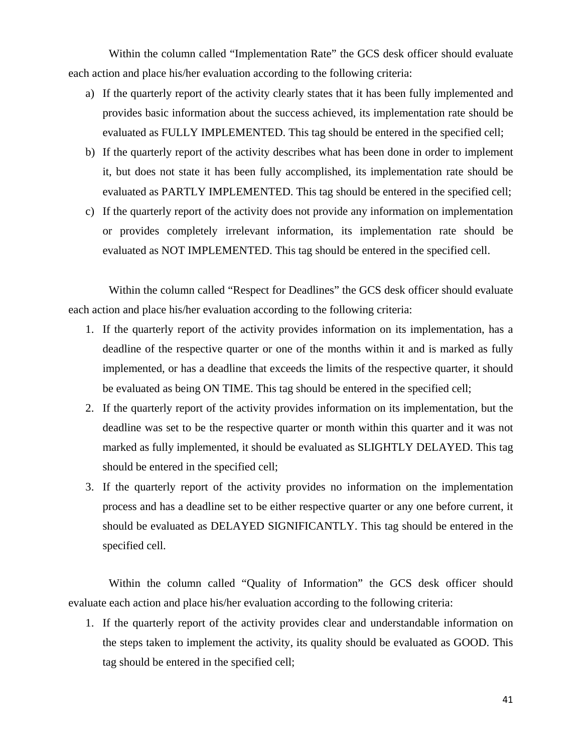Within the column called "Implementation Rate" the GCS desk officer should evaluate each action and place his/her evaluation according to the following criteria:

- a) If the quarterly report of the activity clearly states that it has been fully implemented and provides basic information about the success achieved, its implementation rate should be evaluated as FULLY IMPLEMENTED. This tag should be entered in the specified cell;
- b) If the quarterly report of the activity describes what has been done in order to implement it, but does not state it has been fully accomplished, its implementation rate should be evaluated as PARTLY IMPLEMENTED. This tag should be entered in the specified cell;
- c) If the quarterly report of the activity does not provide any information on implementation or provides completely irrelevant information, its implementation rate should be evaluated as NOT IMPLEMENTED. This tag should be entered in the specified cell.

 Within the column called "Respect for Deadlines" the GCS desk officer should evaluate each action and place his/her evaluation according to the following criteria:

- 1. If the quarterly report of the activity provides information on its implementation, has a deadline of the respective quarter or one of the months within it and is marked as fully implemented, or has a deadline that exceeds the limits of the respective quarter, it should be evaluated as being ON TIME. This tag should be entered in the specified cell;
- 2. If the quarterly report of the activity provides information on its implementation, but the deadline was set to be the respective quarter or month within this quarter and it was not marked as fully implemented, it should be evaluated as SLIGHTLY DELAYED. This tag should be entered in the specified cell;
- 3. If the quarterly report of the activity provides no information on the implementation process and has a deadline set to be either respective quarter or any one before current, it should be evaluated as DELAYED SIGNIFICANTLY. This tag should be entered in the specified cell.

 Within the column called "Quality of Information" the GCS desk officer should evaluate each action and place his/her evaluation according to the following criteria:

1. If the quarterly report of the activity provides clear and understandable information on the steps taken to implement the activity, its quality should be evaluated as GOOD. This tag should be entered in the specified cell;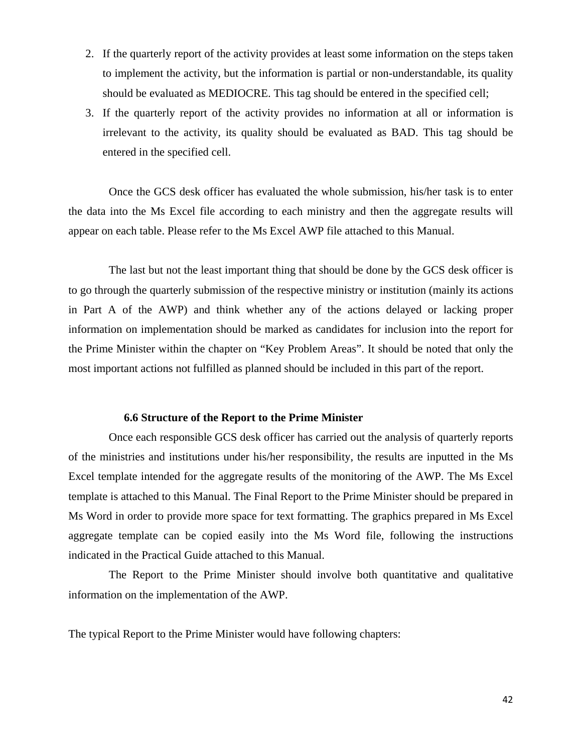- <span id="page-42-0"></span>2. If the quarterly report of the activity provides at least some information on the steps taken to implement the activity, but the information is partial or non-understandable, its quality should be evaluated as MEDIOCRE. This tag should be entered in the specified cell;
- 3. If the quarterly report of the activity provides no information at all or information is irrelevant to the activity, its quality should be evaluated as BAD. This tag should be entered in the specified cell.

 Once the GCS desk officer has evaluated the whole submission, his/her task is to enter the data into the Ms Excel file according to each ministry and then the aggregate results will appear on each table. Please refer to the Ms Excel AWP file attached to this Manual.

 The last but not the least important thing that should be done by the GCS desk officer is to go through the quarterly submission of the respective ministry or institution (mainly its actions in Part A of the AWP) and think whether any of the actions delayed or lacking proper information on implementation should be marked as candidates for inclusion into the report for the Prime Minister within the chapter on "Key Problem Areas". It should be noted that only the most important actions not fulfilled as planned should be included in this part of the report.

#### **6.6 Structure of the Report to the Prime Minister**

 Once each responsible GCS desk officer has carried out the analysis of quarterly reports of the ministries and institutions under his/her responsibility, the results are inputted in the Ms Excel template intended for the aggregate results of the monitoring of the AWP. The Ms Excel template is attached to this Manual. The Final Report to the Prime Minister should be prepared in Ms Word in order to provide more space for text formatting. The graphics prepared in Ms Excel aggregate template can be copied easily into the Ms Word file, following the instructions indicated in the Practical Guide attached to this Manual.

 The Report to the Prime Minister should involve both quantitative and qualitative information on the implementation of the AWP.

The typical Report to the Prime Minister would have following chapters: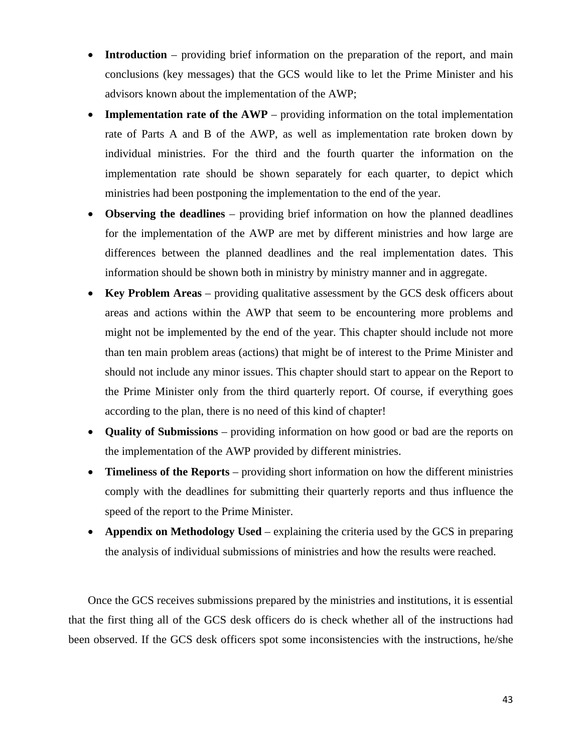- **Introduction** providing brief information on the preparation of the report, and main conclusions (key messages) that the GCS would like to let the Prime Minister and his advisors known about the implementation of the AWP;
- **Implementation rate of the AWP** providing information on the total implementation rate of Parts A and B of the AWP, as well as implementation rate broken down by individual ministries. For the third and the fourth quarter the information on the implementation rate should be shown separately for each quarter, to depict which ministries had been postponing the implementation to the end of the year.
- **Observing the deadlines** providing brief information on how the planned deadlines for the implementation of the AWP are met by different ministries and how large are differences between the planned deadlines and the real implementation dates. This information should be shown both in ministry by ministry manner and in aggregate.
- **Key Problem Areas** providing qualitative assessment by the GCS desk officers about areas and actions within the AWP that seem to be encountering more problems and might not be implemented by the end of the year. This chapter should include not more than ten main problem areas (actions) that might be of interest to the Prime Minister and should not include any minor issues. This chapter should start to appear on the Report to the Prime Minister only from the third quarterly report. Of course, if everything goes according to the plan, there is no need of this kind of chapter!
- **Quality of Submissions** providing information on how good or bad are the reports on the implementation of the AWP provided by different ministries.
- **Timeliness of the Reports** providing short information on how the different ministries comply with the deadlines for submitting their quarterly reports and thus influence the speed of the report to the Prime Minister.
- **Appendix on Methodology Used** explaining the criteria used by the GCS in preparing the analysis of individual submissions of ministries and how the results were reached.

Once the GCS receives submissions prepared by the ministries and institutions, it is essential that the first thing all of the GCS desk officers do is check whether all of the instructions had been observed. If the GCS desk officers spot some inconsistencies with the instructions, he/she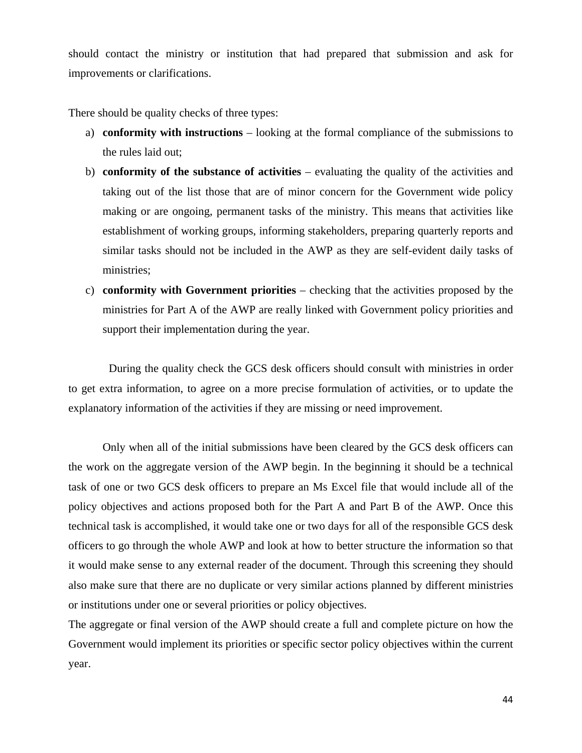should contact the ministry or institution that had prepared that submission and ask for improvements or clarifications.

There should be quality checks of three types:

- a) **conformity with instructions** looking at the formal compliance of the submissions to the rules laid out;
- b) **conformity of the substance of activities** evaluating the quality of the activities and taking out of the list those that are of minor concern for the Government wide policy making or are ongoing, permanent tasks of the ministry. This means that activities like establishment of working groups, informing stakeholders, preparing quarterly reports and similar tasks should not be included in the AWP as they are self-evident daily tasks of ministries;
- c) **conformity with Government priorities** checking that the activities proposed by the ministries for Part A of the AWP are really linked with Government policy priorities and support their implementation during the year.

 During the quality check the GCS desk officers should consult with ministries in order to get extra information, to agree on a more precise formulation of activities, or to update the explanatory information of the activities if they are missing or need improvement.

Only when all of the initial submissions have been cleared by the GCS desk officers can the work on the aggregate version of the AWP begin. In the beginning it should be a technical task of one or two GCS desk officers to prepare an Ms Excel file that would include all of the policy objectives and actions proposed both for the Part A and Part B of the AWP. Once this technical task is accomplished, it would take one or two days for all of the responsible GCS desk officers to go through the whole AWP and look at how to better structure the information so that it would make sense to any external reader of the document. Through this screening they should also make sure that there are no duplicate or very similar actions planned by different ministries or institutions under one or several priorities or policy objectives.

The aggregate or final version of the AWP should create a full and complete picture on how the Government would implement its priorities or specific sector policy objectives within the current year.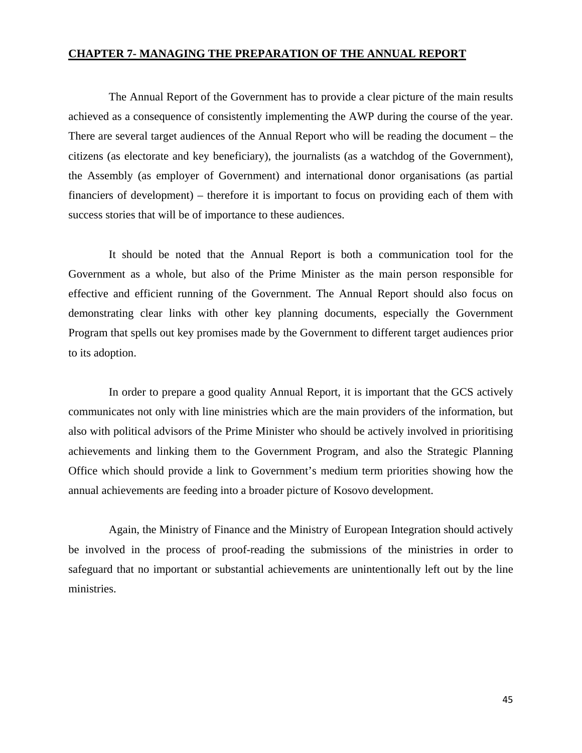## <span id="page-45-0"></span>**CHAPTER 7- MANAGING THE PREPARATION OF THE ANNUAL REPORT**

 The Annual Report of the Government has to provide a clear picture of the main results achieved as a consequence of consistently implementing the AWP during the course of the year. There are several target audiences of the Annual Report who will be reading the document – the citizens (as electorate and key beneficiary), the journalists (as a watchdog of the Government), the Assembly (as employer of Government) and international donor organisations (as partial financiers of development) – therefore it is important to focus on providing each of them with success stories that will be of importance to these audiences.

 It should be noted that the Annual Report is both a communication tool for the Government as a whole, but also of the Prime Minister as the main person responsible for effective and efficient running of the Government. The Annual Report should also focus on demonstrating clear links with other key planning documents, especially the Government Program that spells out key promises made by the Government to different target audiences prior to its adoption.

 In order to prepare a good quality Annual Report, it is important that the GCS actively communicates not only with line ministries which are the main providers of the information, but also with political advisors of the Prime Minister who should be actively involved in prioritising achievements and linking them to the Government Program, and also the Strategic Planning Office which should provide a link to Government's medium term priorities showing how the annual achievements are feeding into a broader picture of Kosovo development.

 Again, the Ministry of Finance and the Ministry of European Integration should actively be involved in the process of proof-reading the submissions of the ministries in order to safeguard that no important or substantial achievements are unintentionally left out by the line ministries.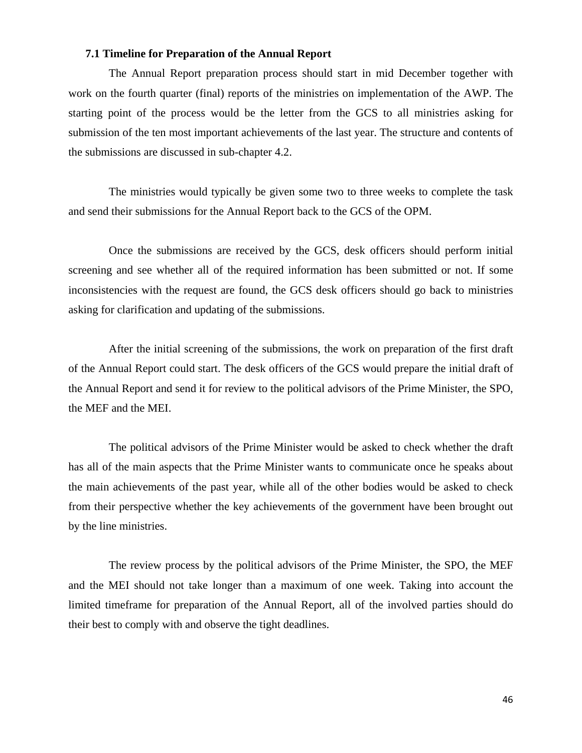# **7.1 Timeline for Preparation of the Annual Report**

<span id="page-46-0"></span> The Annual Report preparation process should start in mid December together with work on the fourth quarter (final) reports of the ministries on implementation of the AWP. The starting point of the process would be the letter from the GCS to all ministries asking for submission of the ten most important achievements of the last year. The structure and contents of the submissions are discussed in sub-chapter 4.2.

 The ministries would typically be given some two to three weeks to complete the task and send their submissions for the Annual Report back to the GCS of the OPM.

 Once the submissions are received by the GCS, desk officers should perform initial screening and see whether all of the required information has been submitted or not. If some inconsistencies with the request are found, the GCS desk officers should go back to ministries asking for clarification and updating of the submissions.

 After the initial screening of the submissions, the work on preparation of the first draft of the Annual Report could start. The desk officers of the GCS would prepare the initial draft of the Annual Report and send it for review to the political advisors of the Prime Minister, the SPO, the MEF and the MEI.

 The political advisors of the Prime Minister would be asked to check whether the draft has all of the main aspects that the Prime Minister wants to communicate once he speaks about the main achievements of the past year, while all of the other bodies would be asked to check from their perspective whether the key achievements of the government have been brought out by the line ministries.

 The review process by the political advisors of the Prime Minister, the SPO, the MEF and the MEI should not take longer than a maximum of one week. Taking into account the limited timeframe for preparation of the Annual Report, all of the involved parties should do their best to comply with and observe the tight deadlines.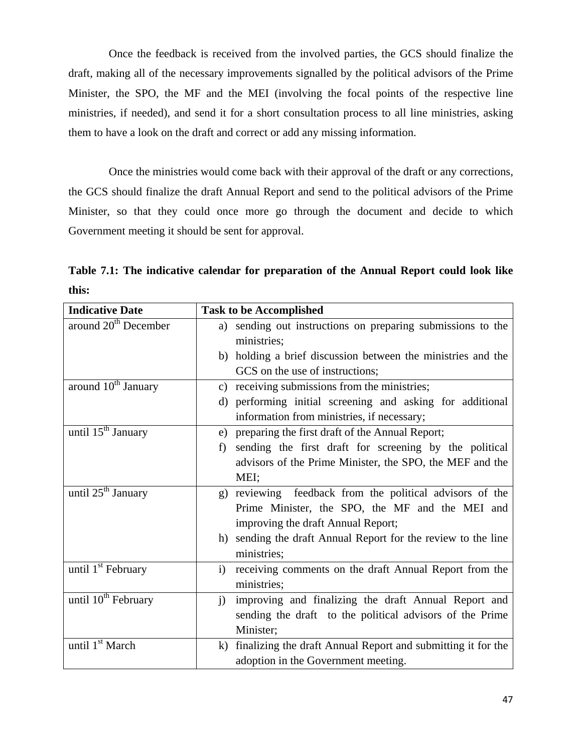<span id="page-47-0"></span> Once the feedback is received from the involved parties, the GCS should finalize the draft, making all of the necessary improvements signalled by the political advisors of the Prime Minister, the SPO, the MF and the MEI (involving the focal points of the respective line ministries, if needed), and send it for a short consultation process to all line ministries, asking them to have a look on the draft and correct or add any missing information.

 Once the ministries would come back with their approval of the draft or any corrections, the GCS should finalize the draft Annual Report and send to the political advisors of the Prime Minister, so that they could once more go through the document and decide to which Government meeting it should be sent for approval.

**Table 7.1: The indicative calendar for preparation of the Annual Report could look like this:** 

| <b>Indicative Date</b>           | <b>Task to be Accomplished</b>                                           |
|----------------------------------|--------------------------------------------------------------------------|
| around 20 <sup>th</sup> December | sending out instructions on preparing submissions to the<br>a)           |
|                                  | ministries;                                                              |
|                                  | holding a brief discussion between the ministries and the<br>b)          |
|                                  | GCS on the use of instructions;                                          |
| around 10 <sup>th</sup> January  | c) receiving submissions from the ministries;                            |
|                                  | performing initial screening and asking for additional<br>$\rm d$        |
|                                  | information from ministries, if necessary;                               |
| until $15th$ January             | preparing the first draft of the Annual Report;<br>e)                    |
|                                  | sending the first draft for screening by the political<br>f)             |
|                                  | advisors of the Prime Minister, the SPO, the MEF and the                 |
|                                  | MEI;                                                                     |
| until 25 <sup>th</sup> January   | reviewing feedback from the political advisors of the<br>(g)             |
|                                  | Prime Minister, the SPO, the MF and the MEI and                          |
|                                  | improving the draft Annual Report;                                       |
|                                  | sending the draft Annual Report for the review to the line<br>h)         |
|                                  | ministries;                                                              |
| until 1 <sup>st</sup> February   | receiving comments on the draft Annual Report from the<br>$\mathbf{i}$   |
|                                  | ministries;                                                              |
| until 10 <sup>th</sup> February  | $\mathbf{i}$<br>improving and finalizing the draft Annual Report and     |
|                                  | sending the draft to the political advisors of the Prime                 |
|                                  | Minister;                                                                |
| until 1 <sup>st</sup> March      | finalizing the draft Annual Report and submitting it for the<br>$\bf{k}$ |
|                                  | adoption in the Government meeting.                                      |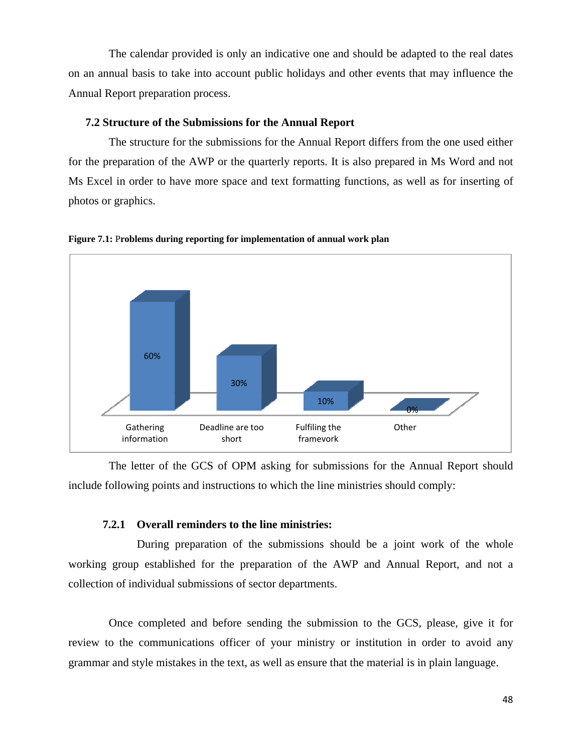<span id="page-48-0"></span> The calendar provided is only an indicative one and should be adapted to the real dates on an annual basis to take into account public holidays and other events that may influence the Annual Report preparation process.

# **7.2 Structure of the Submissions for the Annual Report**

 The structure for the submissions for the Annual Report differs from the one used either for the preparation of the AWP or the quarterly reports. It is also prepared in Ms Word and not Ms Excel in order to have more space and text formatting functions, as well as for inserting of photos or graphics.



**Figure 7.1:** P**roblems during reporting for implementation of annual work plan** 

 The letter of the GCS of OPM asking for submissions for the Annual Report should include following points and instructions to which the line ministries should comply:

# **7.2.1 Overall reminders to the line ministries:**

 During preparation of the submissions should be a joint work of the whole working group established for the preparation of the AWP and Annual Report, and not a collection of individual submissions of sector departments.

 Once completed and before sending the submission to the GCS, please, give it for review to the communications officer of your ministry or institution in order to avoid any grammar and style mistakes in the text, as well as ensure that the material is in plain language.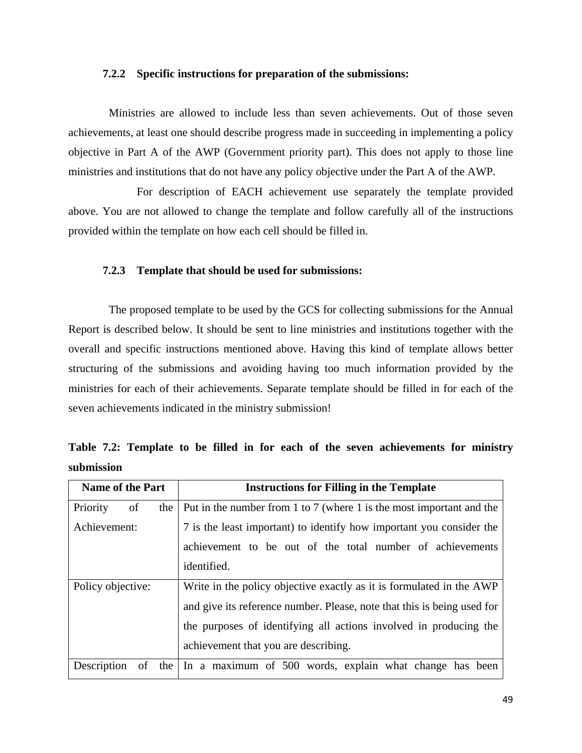#### <span id="page-49-0"></span>**7.2.2 Specific instructions for preparation of the submissions:**

 Ministries are allowed to include less than seven achievements. Out of those seven achievements, at least one should describe progress made in succeeding in implementing a policy objective in Part A of the AWP (Government priority part). This does not apply to those line ministries and institutions that do not have any policy objective under the Part A of the AWP.

 For description of EACH achievement use separately the template provided above. You are not allowed to change the template and follow carefully all of the instructions provided within the template on how each cell should be filled in.

#### **7.2.3 Template that should be used for submissions:**

 The proposed template to be used by the GCS for collecting submissions for the Annual Report is described below. It should be sent to line ministries and institutions together with the overall and specific instructions mentioned above. Having this kind of template allows better structuring of the submissions and avoiding having too much information provided by the ministries for each of their achievements. Separate template should be filled in for each of the seven achievements indicated in the ministry submission!

|            |  |  |  |  |  | Table 7.2: Template to be filled in for each of the seven achievements for ministry |  |
|------------|--|--|--|--|--|-------------------------------------------------------------------------------------|--|
| submission |  |  |  |  |  |                                                                                     |  |

| <b>Name of the Part</b>             | <b>Instructions for Filling in the Template</b>                         |  |  |  |  |  |  |  |
|-------------------------------------|-------------------------------------------------------------------------|--|--|--|--|--|--|--|
| Priority<br>of<br>the               | Put in the number from 1 to 7 (where 1 is the most important and the    |  |  |  |  |  |  |  |
| Achievement:                        | 7 is the least important) to identify how important you consider the    |  |  |  |  |  |  |  |
|                                     | achievement to be out of the total number of achievements               |  |  |  |  |  |  |  |
|                                     | identified.                                                             |  |  |  |  |  |  |  |
| Policy objective:                   | Write in the policy objective exactly as it is formulated in the AWP    |  |  |  |  |  |  |  |
|                                     | and give its reference number. Please, note that this is being used for |  |  |  |  |  |  |  |
|                                     | the purposes of identifying all actions involved in producing the       |  |  |  |  |  |  |  |
|                                     | achievement that you are describing.                                    |  |  |  |  |  |  |  |
| Description<br>the<br><sub>of</sub> | In a maximum of 500 words, explain what change has been                 |  |  |  |  |  |  |  |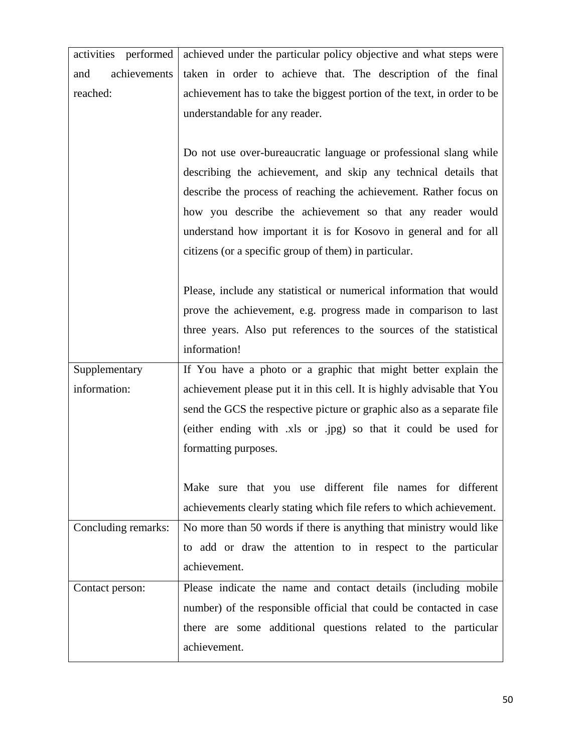| activities performed | achieved under the particular policy objective and what steps were      |
|----------------------|-------------------------------------------------------------------------|
| achievements<br>and  | taken in order to achieve that. The description of the final            |
| reached:             | achievement has to take the biggest portion of the text, in order to be |
|                      | understandable for any reader.                                          |
|                      |                                                                         |
|                      | Do not use over-bureaucratic language or professional slang while       |
|                      | describing the achievement, and skip any technical details that         |
|                      | describe the process of reaching the achievement. Rather focus on       |
|                      | how you describe the achievement so that any reader would               |
|                      | understand how important it is for Kosovo in general and for all        |
|                      | citizens (or a specific group of them) in particular.                   |
|                      |                                                                         |
|                      | Please, include any statistical or numerical information that would     |
|                      | prove the achievement, e.g. progress made in comparison to last         |
|                      | three years. Also put references to the sources of the statistical      |
|                      | information!                                                            |
| Supplementary        | If You have a photo or a graphic that might better explain the          |
| information:         | achievement please put it in this cell. It is highly advisable that You |
|                      | send the GCS the respective picture or graphic also as a separate file  |
|                      | (either ending with .xls or .jpg) so that it could be used for          |
|                      | formatting purposes.                                                    |
|                      |                                                                         |
|                      | Make sure that you use different file names for different               |
|                      | achievements clearly stating which file refers to which achievement.    |
| Concluding remarks:  | No more than 50 words if there is anything that ministry would like     |
|                      | to add or draw the attention to in respect to the particular            |
|                      | achievement.                                                            |
| Contact person:      | Please indicate the name and contact details (including mobile          |
|                      | number) of the responsible official that could be contacted in case     |
|                      | there are some additional questions related to the particular           |
|                      | achievement.                                                            |
|                      |                                                                         |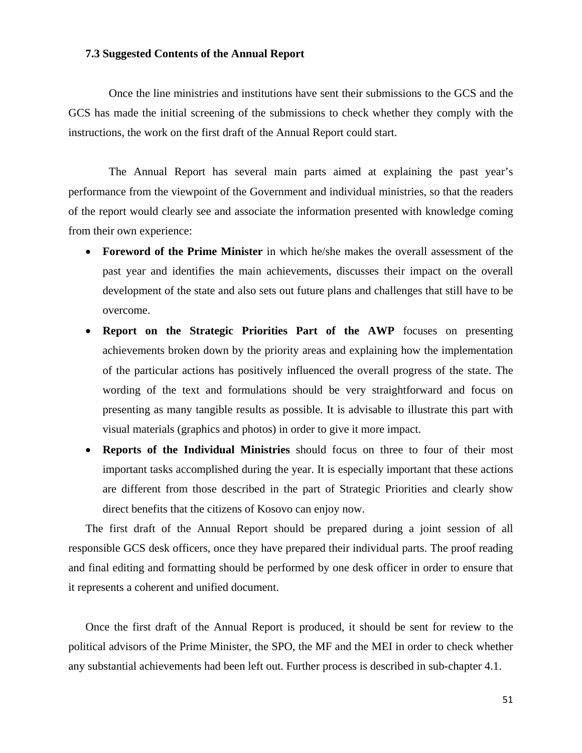### <span id="page-51-0"></span>**7.3 Suggested Contents of the Annual Report**

 Once the line ministries and institutions have sent their submissions to the GCS and the GCS has made the initial screening of the submissions to check whether they comply with the instructions, the work on the first draft of the Annual Report could start.

 The Annual Report has several main parts aimed at explaining the past year's performance from the viewpoint of the Government and individual ministries, so that the readers of the report would clearly see and associate the information presented with knowledge coming from their own experience:

- **Foreword of the Prime Minister** in which he/she makes the overall assessment of the past year and identifies the main achievements, discusses their impact on the overall development of the state and also sets out future plans and challenges that still have to be overcome.
- **Report on the Strategic Priorities Part of the AWP** focuses on presenting achievements broken down by the priority areas and explaining how the implementation of the particular actions has positively influenced the overall progress of the state. The wording of the text and formulations should be very straightforward and focus on presenting as many tangible results as possible. It is advisable to illustrate this part with visual materials (graphics and photos) in order to give it more impact.
- **Reports of the Individual Ministries** should focus on three to four of their most important tasks accomplished during the year. It is especially important that these actions are different from those described in the part of Strategic Priorities and clearly show direct benefits that the citizens of Kosovo can enjoy now.

The first draft of the Annual Report should be prepared during a joint session of all responsible GCS desk officers, once they have prepared their individual parts. The proof reading and final editing and formatting should be performed by one desk officer in order to ensure that it represents a coherent and unified document.

Once the first draft of the Annual Report is produced, it should be sent for review to the political advisors of the Prime Minister, the SPO, the MF and the MEI in order to check whether any substantial achievements had been left out. Further process is described in sub-chapter 4.1.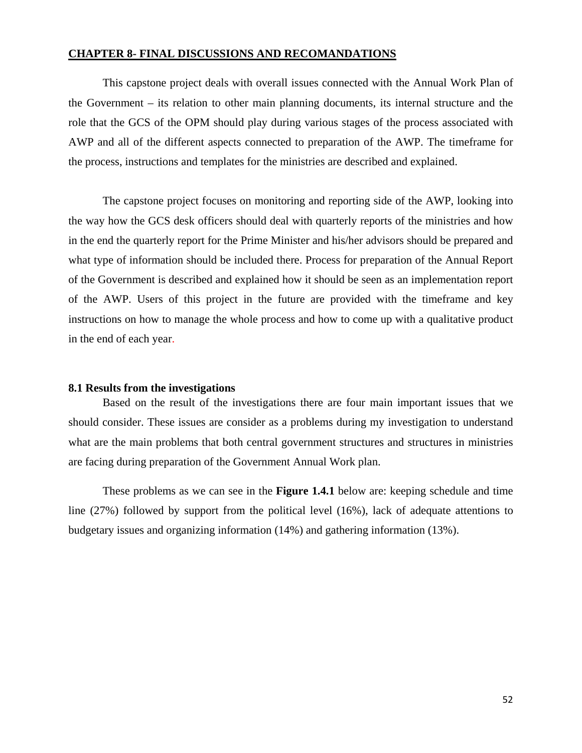#### <span id="page-52-0"></span>**CHAPTER 8- FINAL DISCUSSIONS AND RECOMANDATIONS**

This capstone project deals with overall issues connected with the Annual Work Plan of the Government – its relation to other main planning documents, its internal structure and the role that the GCS of the OPM should play during various stages of the process associated with AWP and all of the different aspects connected to preparation of the AWP. The timeframe for the process, instructions and templates for the ministries are described and explained.

The capstone project focuses on monitoring and reporting side of the AWP, looking into the way how the GCS desk officers should deal with quarterly reports of the ministries and how in the end the quarterly report for the Prime Minister and his/her advisors should be prepared and what type of information should be included there. Process for preparation of the Annual Report of the Government is described and explained how it should be seen as an implementation report of the AWP. Users of this project in the future are provided with the timeframe and key instructions on how to manage the whole process and how to come up with a qualitative product in the end of each year.

#### **8.1 Results from the investigations**

Based on the result of the investigations there are four main important issues that we should consider. These issues are consider as a problems during my investigation to understand what are the main problems that both central government structures and structures in ministries are facing during preparation of the Government Annual Work plan.

These problems as we can see in the **Figure 1.4.1** below are: keeping schedule and time line (27%) followed by support from the political level (16%), lack of adequate attentions to budgetary issues and organizing information (14%) and gathering information (13%).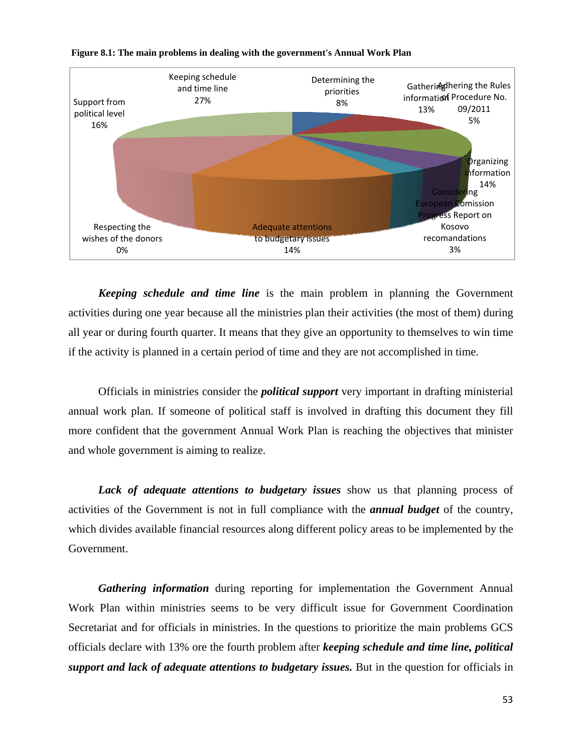

# <span id="page-53-0"></span>**Figure 8.1: The main problems in dealing with the government's Annual Work Plan**

*Keeping schedule and time line* is the main problem in planning the Government activities during one year because all the ministries plan their activities (the most of them) during all year or during fourth quarter. It means that they give an opportunity to themselves to win time if the activity is planned in a certain period of time and they are not accomplished in time.

 Officials in ministries consider the *political support* very important in drafting ministerial annual work plan. If someone of political staff is involved in drafting this document they fill more confident that the government Annual Work Plan is reaching the objectives that minister and whole government is aiming to realize.

 *Lack of adequate attentions to budgetary issues* show us that planning process of activities of the Government is not in full compliance with the *annual budget* of the country, which divides available financial resources along different policy areas to be implemented by the Government.

 *Gathering information* during reporting for implementation the Government Annual Work Plan within ministries seems to be very difficult issue for Government Coordination Secretariat and for officials in ministries. In the questions to prioritize the main problems GCS officials declare with 13% ore the fourth problem after *keeping schedule and time line, political support and lack of adequate attentions to budgetary issues.* But in the question for officials in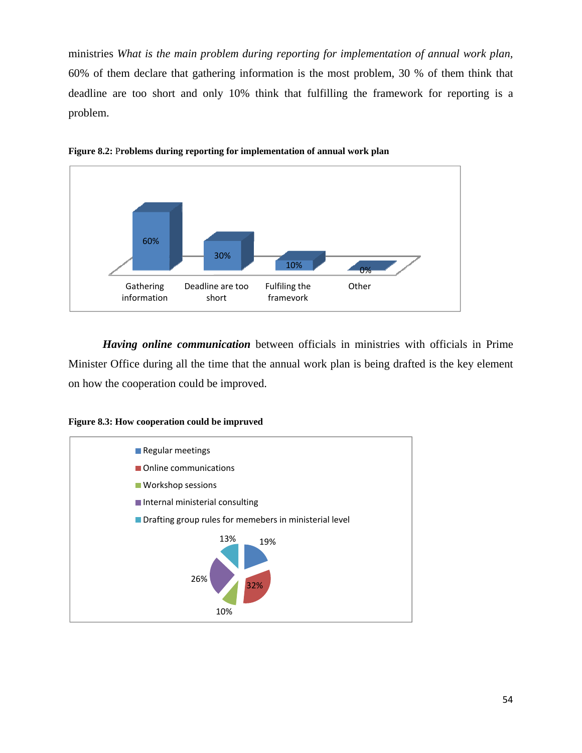<span id="page-54-0"></span>ministries *What is the main problem during reporting for implementation of annual work plan,* 60% of them declare that gathering information is the most problem, 30 % of them think that deadline are too short and only 10% think that fulfilling the framework for reporting is a problem.





 *Having online communication* between officials in ministries with officials in Prime Minister Office during all the time that the annual work plan is being drafted is the key element on how the cooperation could be improved.



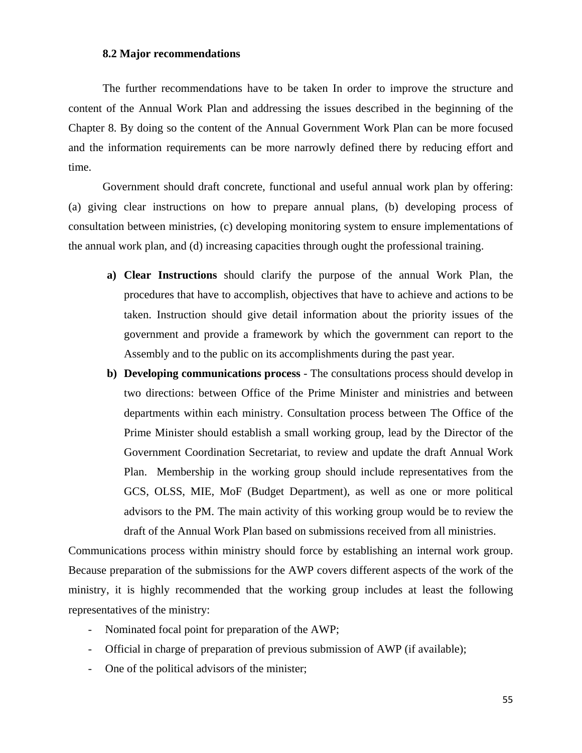#### **8.2 Major recommendations**

<span id="page-55-0"></span> The further recommendations have to be taken In order to improve the structure and content of the Annual Work Plan and addressing the issues described in the beginning of the Chapter 8. By doing so the content of the Annual Government Work Plan can be more focused and the information requirements can be more narrowly defined there by reducing effort and time.

Government should draft concrete, functional and useful annual work plan by offering: (a) giving clear instructions on how to prepare annual plans, (b) developing process of consultation between ministries, (c) developing monitoring system to ensure implementations of the annual work plan, and (d) increasing capacities through ought the professional training.

- **a) Clear Instructions** should clarify the purpose of the annual Work Plan, the procedures that have to accomplish, objectives that have to achieve and actions to be taken. Instruction should give detail information about the priority issues of the government and provide a framework by which the government can report to the Assembly and to the public on its accomplishments during the past year.
- **b) Developing communications process**  The consultations process should develop in two directions: between Office of the Prime Minister and ministries and between departments within each ministry. Consultation process between The Office of the Prime Minister should establish a small working group, lead by the Director of the Government Coordination Secretariat, to review and update the draft Annual Work Plan. Membership in the working group should include representatives from the GCS, OLSS, MIE, MoF (Budget Department), as well as one or more political advisors to the PM. The main activity of this working group would be to review the draft of the Annual Work Plan based on submissions received from all ministries.

Communications process within ministry should force by establishing an internal work group. Because preparation of the submissions for the AWP covers different aspects of the work of the ministry, it is highly recommended that the working group includes at least the following representatives of the ministry:

- Nominated focal point for preparation of the AWP;
- Official in charge of preparation of previous submission of AWP (if available);
- One of the political advisors of the minister;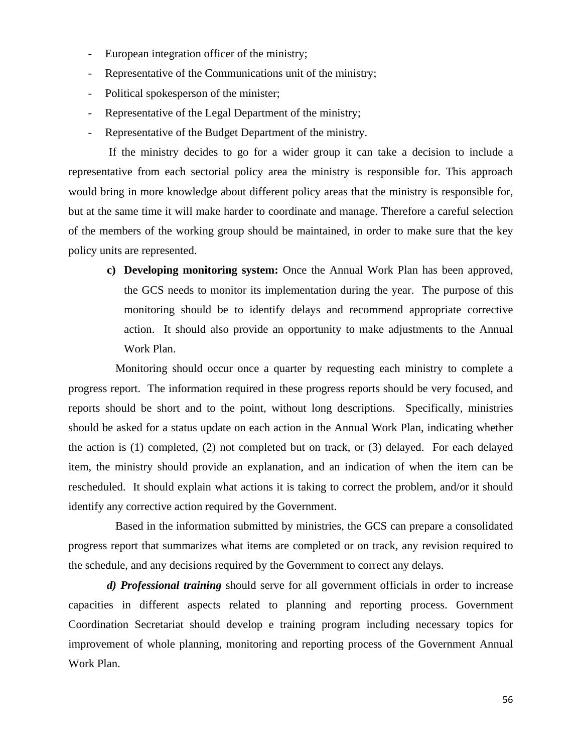- European integration officer of the ministry;
- Representative of the Communications unit of the ministry;
- Political spokesperson of the minister;
- Representative of the Legal Department of the ministry;
- Representative of the Budget Department of the ministry.

 If the ministry decides to go for a wider group it can take a decision to include a representative from each sectorial policy area the ministry is responsible for. This approach would bring in more knowledge about different policy areas that the ministry is responsible for, but at the same time it will make harder to coordinate and manage. Therefore a careful selection of the members of the working group should be maintained, in order to make sure that the key policy units are represented.

**c) Developing monitoring system:** Once the Annual Work Plan has been approved, the GCS needs to monitor its implementation during the year. The purpose of this monitoring should be to identify delays and recommend appropriate corrective action. It should also provide an opportunity to make adjustments to the Annual Work Plan.

 Monitoring should occur once a quarter by requesting each ministry to complete a progress report. The information required in these progress reports should be very focused, and reports should be short and to the point, without long descriptions. Specifically, ministries should be asked for a status update on each action in the Annual Work Plan, indicating whether the action is (1) completed, (2) not completed but on track, or (3) delayed. For each delayed item, the ministry should provide an explanation, and an indication of when the item can be rescheduled. It should explain what actions it is taking to correct the problem, and/or it should identify any corrective action required by the Government.

 Based in the information submitted by ministries, the GCS can prepare a consolidated progress report that summarizes what items are completed or on track, any revision required to the schedule, and any decisions required by the Government to correct any delays.

 *d) Professional training* should serve for all government officials in order to increase capacities in different aspects related to planning and reporting process. Government Coordination Secretariat should develop e training program including necessary topics for improvement of whole planning, monitoring and reporting process of the Government Annual Work Plan.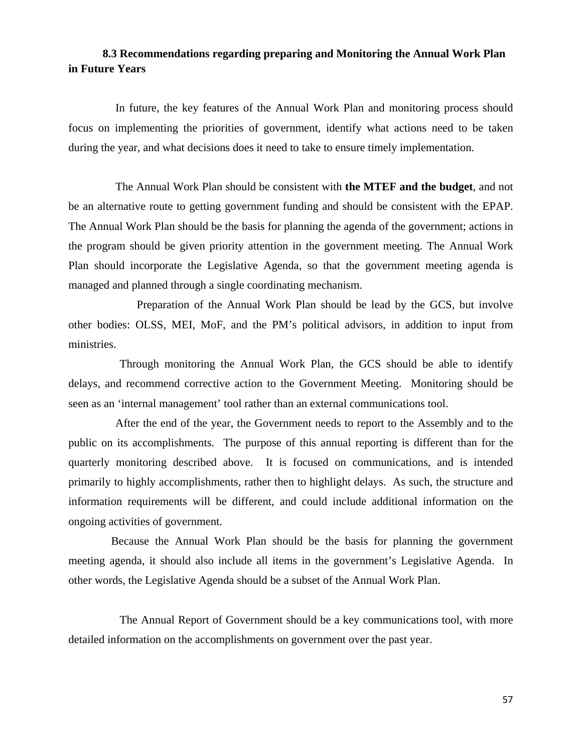# <span id="page-57-0"></span>**8.3 Recommendations regarding preparing and Monitoring the Annual Work Plan in Future Years**

 In future, the key features of the Annual Work Plan and monitoring process should focus on implementing the priorities of government, identify what actions need to be taken during the year, and what decisions does it need to take to ensure timely implementation.

 The Annual Work Plan should be consistent with **the MTEF and the budget**, and not be an alternative route to getting government funding and should be consistent with the EPAP. The Annual Work Plan should be the basis for planning the agenda of the government; actions in the program should be given priority attention in the government meeting. The Annual Work Plan should incorporate the Legislative Agenda, so that the government meeting agenda is managed and planned through a single coordinating mechanism.

 Preparation of the Annual Work Plan should be lead by the GCS, but involve other bodies: OLSS, MEI, MoF, and the PM's political advisors, in addition to input from ministries.

 Through monitoring the Annual Work Plan, the GCS should be able to identify delays, and recommend corrective action to the Government Meeting. Monitoring should be seen as an 'internal management' tool rather than an external communications tool.

 After the end of the year, the Government needs to report to the Assembly and to the public on its accomplishments. The purpose of this annual reporting is different than for the quarterly monitoring described above. It is focused on communications, and is intended primarily to highly accomplishments, rather then to highlight delays. As such, the structure and information requirements will be different, and could include additional information on the ongoing activities of government.

 Because the Annual Work Plan should be the basis for planning the government meeting agenda, it should also include all items in the government's Legislative Agenda. In other words, the Legislative Agenda should be a subset of the Annual Work Plan.

 The Annual Report of Government should be a key communications tool, with more detailed information on the accomplishments on government over the past year.